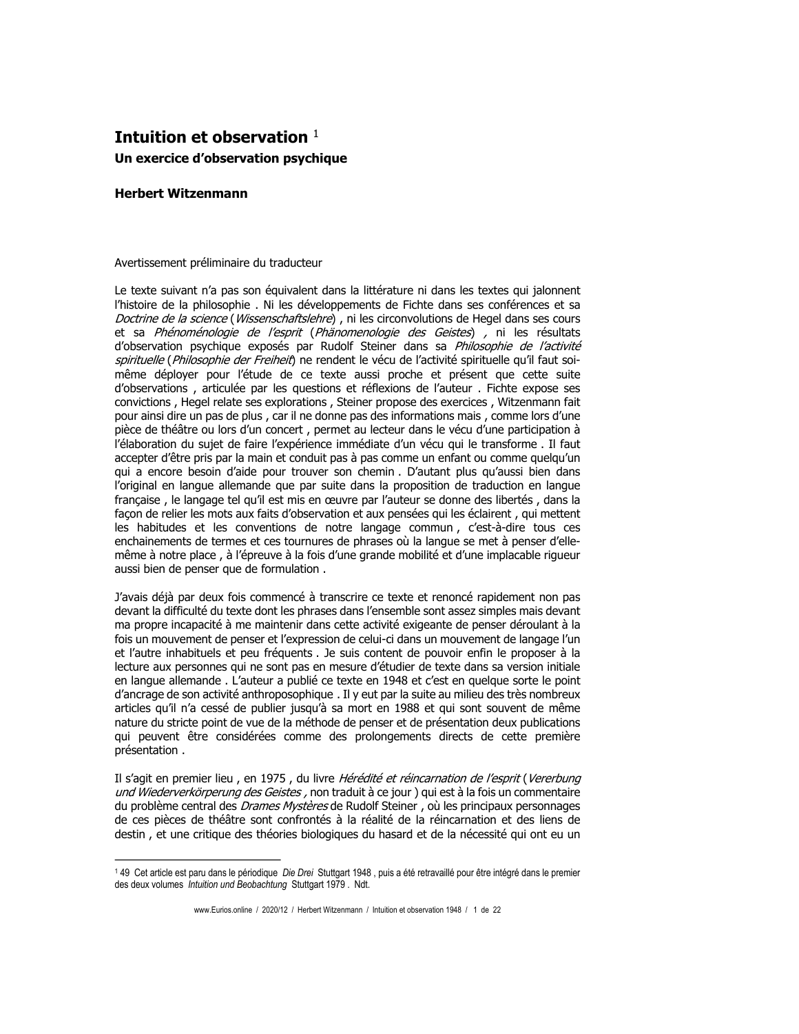## Intuition et observation  $1$ Un exercice d'observation psychique

## **Herbert Witzenmann**

## Avertissement préliminaire du traducteur

Le texte suivant n'a pas son équivalent dans la littérature ni dans les textes qui jalonnent l'histoire de la philosophie. Ni les développements de Fichte dans ses conférences et sa Doctrine de la science (Wissenschaftslehre), ni les circonvolutions de Hegel dans ses cours et sa Phénoménologie de l'esprit (Phänomenologie des Geistes) , ni les résultats d'observation psychique exposés par Rudolf Steiner dans sa Philosophie de l'activité spirituelle (Philosophie der Freiheit) ne rendent le vécu de l'activité spirituelle qu'il faut soimême déployer pour l'étude de ce texte aussi proche et présent que cette suite d'observations, articulée par les questions et réflexions de l'auteur. Fichte expose ses convictions, Hegel relate ses explorations, Steiner propose des exercices, Witzenmann fait pour ainsi dire un pas de plus, car il ne donne pas des informations mais, comme lors d'une pièce de théâtre ou lors d'un concert, permet au lecteur dans le vécu d'une participation à l'élaboration du sujet de faire l'expérience immédiate d'un vécu qui le transforme. Il faut accepter d'être pris par la main et conduit pas à pas comme un enfant ou comme quelqu'un qui a encore besoin d'aide pour trouver son chemin. D'autant plus qu'aussi bien dans l'original en langue allemande que par suite dans la proposition de traduction en langue française, le langage tel qu'il est mis en œuvre par l'auteur se donne des libertés, dans la facon de relier les mots aux faits d'observation et aux pensées qui les éclairent, qui mettent les habitudes et les conventions de notre langage commun, c'est-à-dire tous ces enchainements de termes et ces tournures de phrases où la langue se met à penser d'ellemême à notre place, à l'épreuve à la fois d'une grande mobilité et d'une implacable riqueur aussi bien de penser que de formulation.

J'avais déjà par deux fois commencé à transcrire ce texte et renoncé rapidement non pas devant la difficulté du texte dont les phrases dans l'ensemble sont assez simples mais devant ma propre incapacité à me maintenir dans cette activité exigeante de penser déroulant à la fois un mouvement de penser et l'expression de celui-ci dans un mouvement de langage l'un et l'autre inhabituels et peu fréquents . Je suis content de pouvoir enfin le proposer à la lecture aux personnes qui ne sont pas en mesure d'étudier de texte dans sa version initiale en langue allemande . L'auteur a publié ce texte en 1948 et c'est en quelque sorte le point d'ancrage de son activité anthroposophique. Il y eut par la suite au milieu des très nombreux articles qu'il n'a cessé de publier jusqu'à sa mort en 1988 et qui sont souvent de même nature du stricte point de vue de la méthode de penser et de présentation deux publications qui peuvent être considérées comme des prolongements directs de cette première présentation.

Il s'agit en premier lieu, en 1975, du livre Hérédité et réincarnation de l'esprit (Vererbung und Wiederverkörperung des Geistes, non traduit à ce jour) qui est à la fois un commentaire du problème central des *Drames Mystères* de Rudolf Steiner, où les principaux personnages de ces pièces de théâtre sont confrontés à la réalité de la réincarnation et des liens de destin, et une critique des théories biologiques du hasard et de la nécessité qui ont eu un

<sup>149</sup> Cet article est paru dans le périodique Die Drei Stuttgart 1948, puis a été retravaillé pour être intégré dans le premier des deux volumes Intuition und Beobachtung Stuttgart 1979. Ndt.

www.Eurios.online / 2020/12 / Herbert Witzenmann / Intuition et observation 1948 / 1 de 22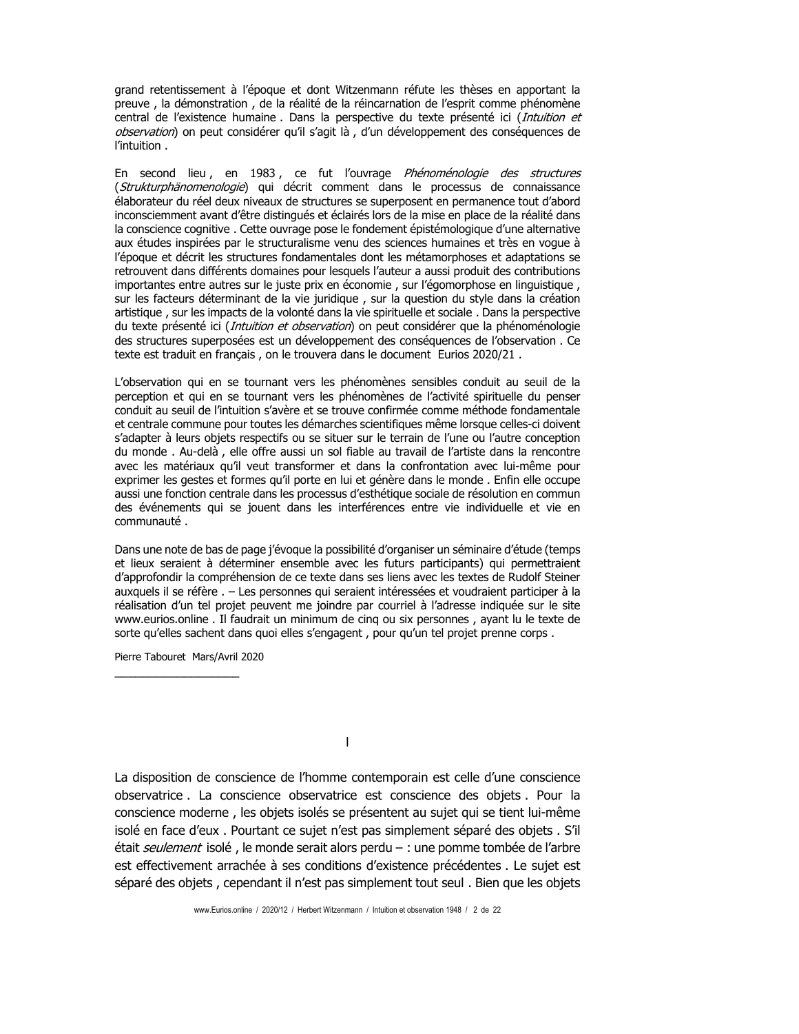grand retentissement à l'épogue et dont Witzenmann réfute les thèses en apportant la preuve, la démonstration, de la réalité de la réincarnation de l'esprit comme phénomène central de l'existence humaine . Dans la perspective du texte présenté ici (Intuition et observation) on peut considérer qu'il s'agit là, d'un développement des conséquences de l'intuition.

En second lieu, en 1983, ce fut l'ouvrage Phénoménologie des structures (Strukturphänomenologie) qui décrit comment dans le processus de connaissance élaborateur du réel deux niveaux de structures se superposent en permanence tout d'abord inconsciemment avant d'être distingués et éclairés lors de la mise en place de la réalité dans la conscience cognitive . Cette ouvrage pose le fondement épistémologique d'une alternative aux études inspirées par le structuralisme venu des sciences humaines et très en vogue à l'époque et décrit les structures fondamentales dont les métamorphoses et adaptations se retrouvent dans différents domaines pour lesquels l'auteur a aussi produit des contributions importantes entre autres sur le juste prix en économie, sur l'égomorphose en linguistique, sur les facteurs déterminant de la vie juridique, sur la question du style dans la création artistique, sur les impacts de la volonté dans la vie spirituelle et sociale. Dans la perspective du texte présenté ici (*Intuition et observation*) on peut considérer que la phénoménologie des structures superposées est un développement des conséquences de l'observation. Ce texte est traduit en français, on le trouvera dans le document Eurios 2020/21.

L'observation qui en se tournant vers les phénomènes sensibles conduit au seuil de la perception et qui en se tournant vers les phénomènes de l'activité spirituelle du penser conduit au seuil de l'intuition s'avère et se trouve confirmée comme méthode fondamentale et centrale commune pour toutes les démarches scientifiques même lorsque celles-ci doivent s'adapter à leurs objets respectifs ou se situer sur le terrain de l'une ou l'autre conception du monde. Au-delà, elle offre aussi un sol fiable au travail de l'artiste dans la rencontre avec les matériaux qu'il veut transformer et dans la confrontation avec lui-même pour exprimer les gestes et formes qu'il porte en lui et génère dans le monde. Enfin elle occupe aussi une fonction centrale dans les processus d'esthétique sociale de résolution en commun des événements qui se jouent dans les interférences entre vie individuelle et vie en communauté.

Dans une note de bas de page j'évoque la possibilité d'organiser un séminaire d'étude (temps et lieux seraient à déterminer ensemble avec les futurs participants) qui permettraient d'approfondir la compréhension de ce texte dans ses liens avec les textes de Rudolf Steiner auxquels il se réfère . - Les personnes qui seraient intéressées et voudraient participer à la réalisation d'un tel projet peuvent me joindre par courriel à l'adresse indiquée sur le site www.eurios.online . Il faudrait un minimum de cinq ou six personnes, ayant lu le texte de sorte qu'elles sachent dans quoi elles s'engagent, pour qu'un tel projet prenne corps.

Pierre Tabouret Mars/Avril 2020

 $\mathbf{I}$ 

La disposition de conscience de l'homme contemporain est celle d'une conscience observatrice . La conscience observatrice est conscience des objets . Pour la conscience moderne, les objets isolés se présentent au sujet qui se tient lui-même isolé en face d'eux . Pourtant ce sujet n'est pas simplement séparé des objets . S'il était seulement isolé, le monde serait alors perdu - : une pomme tombée de l'arbre est effectivement arrachée à ses conditions d'existence précédentes . Le sujet est séparé des objets, cependant il n'est pas simplement tout seul. Bien que les objets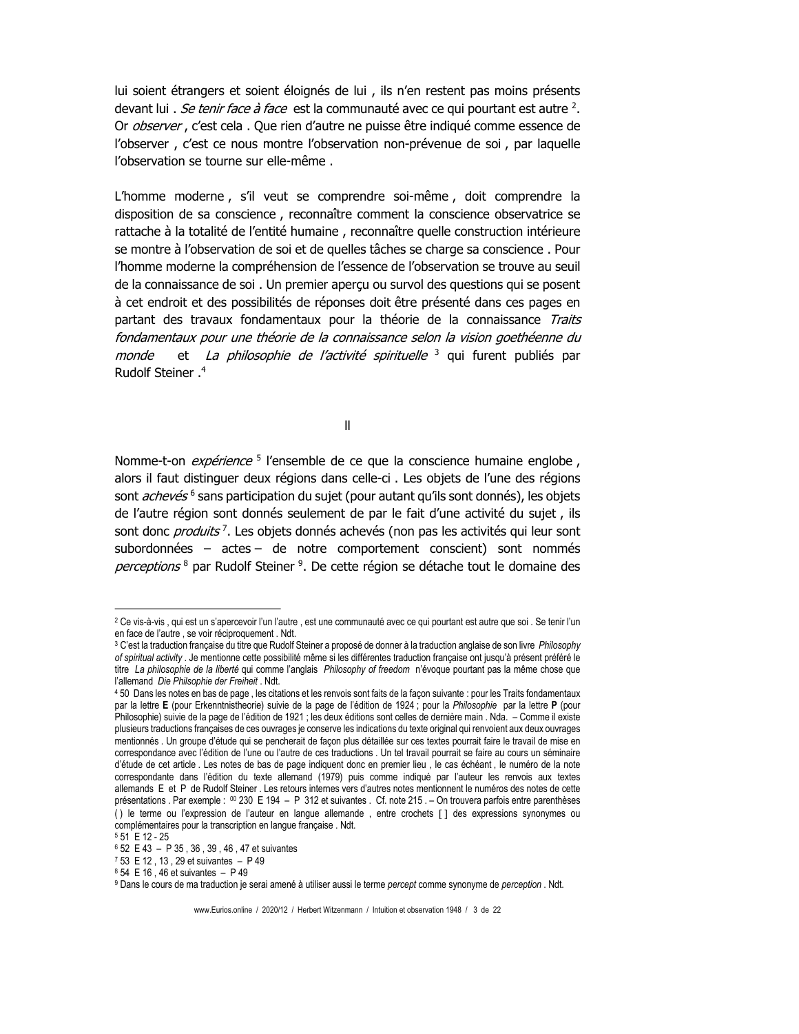lui soient étrangers et soient éloignés de lui, ils n'en restent pas moins présents devant lui. Se tenir face à face est la communauté avec ce qui pourtant est autre <sup>2</sup>. Or *observer*, c'est cela. Que rien d'autre ne puisse être indiqué comme essence de l'observer, c'est ce nous montre l'observation non-prévenue de soi, par laquelle l'observation se tourne sur elle-même.

L'homme moderne, s'il veut se comprendre soi-même, doit comprendre la disposition de sa conscience, reconnaître comment la conscience observatrice se rattache à la totalité de l'entité humaine, reconnaître quelle construction intérieure se montre à l'observation de soi et de quelles tâches se charge sa conscience. Pour l'homme moderne la compréhension de l'essence de l'observation se trouve au seuil de la connaissance de soi. Un premier apercu ou survol des questions qui se posent à cet endroit et des possibilités de réponses doit être présenté dans ces pages en partant des travaux fondamentaux pour la théorie de la connaissance Traits fondamentaux pour une théorie de la connaissance selon la vision goethéenne du et La philosophie de l'activité spirituelle <sup>3</sup> qui furent publiés par monde Rudolf Steiner.<sup>4</sup>

 $\mathbf{I}$ 

Nomme-t-on *expérience*<sup>5</sup> l'ensemble de ce que la conscience humaine englobe, alors il faut distinguer deux régions dans celle-ci. Les objets de l'une des régions sont *achevés* <sup>6</sup> sans participation du sujet (pour autant qu'ils sont donnés), les objets de l'autre région sont donnés seulement de par le fait d'une activité du sujet, ils sont donc *produits*<sup>7</sup>. Les objets donnés achevés (non pas les activités qui leur sont subordonnées – actes – de notre comportement conscient) sont nommés perceptions<sup>8</sup> par Rudolf Steiner<sup>9</sup>. De cette région se détache tout le domaine des

<sup>&</sup>lt;sup>2</sup> Ce vis-à-vis, qui est un s'apercevoir l'un l'autre, est une communauté avec ce qui pourtant est autre que soi . Se tenir l'un en face de l'autre, se voir réciproquement. Ndt.

<sup>3</sup> C'est la traduction française du titre que Rudolf Steiner a proposé de donner à la traduction anglaise de son livre Philosophy of spiritual activity. Je mentionne cette possibilité même si les différentes traduction française ont jusqu'à présent préféré le titre La philosophie de la liberté qui comme l'anglais Philosophy of freedom n'évoque pourtant pas la même chose que l'allemand Die Philsophie der Freiheit . Ndt.

<sup>450</sup> Dans les notes en bas de page, les citations et les renvois sont faits de la façon suivante : pour les Traits fondamentaux par la lettre E (pour Erkenntnistheorie) suivie de la page de l'édition de 1924 ; pour la Philosophie par la lettre P (pour Philosophie) suivie de la page de l'édition de 1921 ; les deux éditions sont celles de dernière main . Nda. - Comme il existe plusieurs traductions françaises de ces ouvrages je conserve les indications du texte original qui renvoient aux deux ouvrages mentionnés . Un groupe d'étude qui se pencherait de façon plus détaillée sur ces textes pourrait faire le travail de mise en correspondance avec l'édition de l'une ou l'autre de ces traductions . Un tel travail pourrait se faire au cours un séminaire d'étude de cet article. Les notes de bas de page indiquent donc en premier lieu, le cas échéant, le numéro de la note correspondante dans l'édition du texte allemand (1979) puis comme indiqué par l'auteur les renvois aux textes allemands E et P de Rudolf Steiner. Les retours internes vers d'autres notes mentionnent le numéros des notes de cette présentations . Par exemple : 00 230 E 194 - P 312 et suivantes . Cf. note 215 . - On trouvera parfois entre parenthèses () le terme ou l'expression de l'auteur en langue allemande, entre crochets [ ] des expressions synonymes ou complémentaires pour la transcription en langue française . Ndt.

<sup>551</sup> E 12 - 25

<sup>6 52</sup> E 43 - P 35, 36, 39, 46, 47 et suivantes

<sup>7 53</sup> E 12, 13, 29 et suivantes - P 49

<sup>8 54</sup> E 16, 46 et suivantes - P 49

<sup>&</sup>lt;sup>9</sup> Dans le cours de ma traduction je serai amené à utiliser aussi le terme percept comme synonyme de perception . Ndt.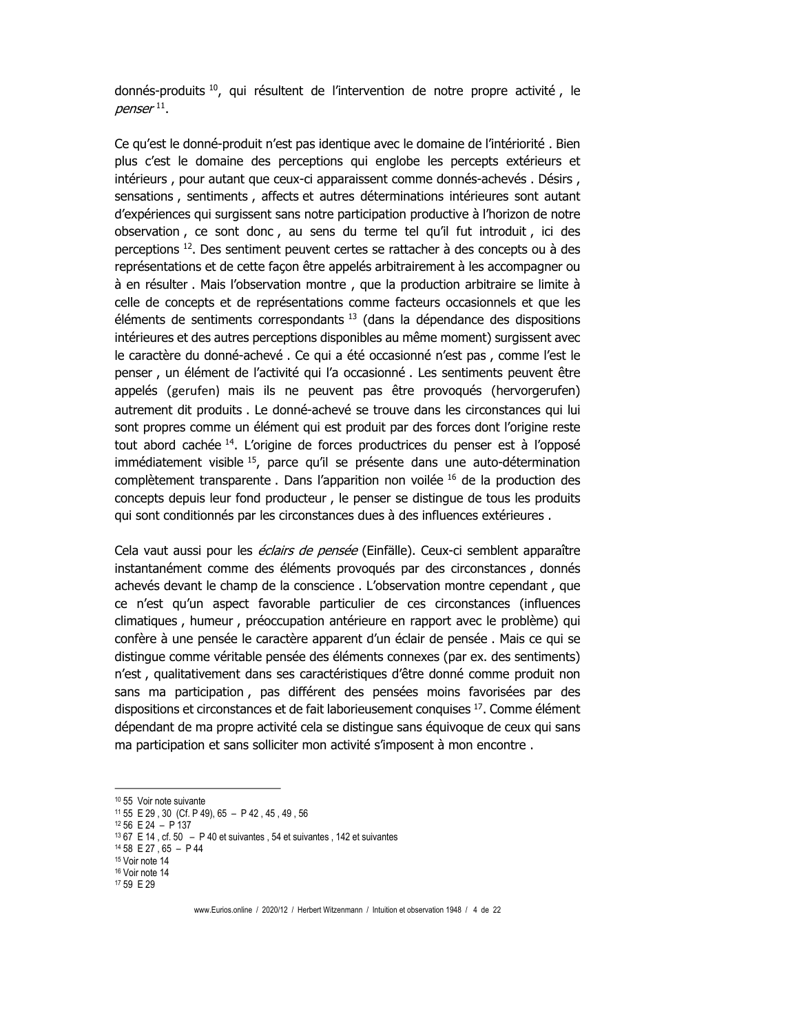donnés-produits<sup>10</sup>, qui résultent de l'intervention de notre propre activité, le penser<sup>11</sup>.

Ce qu'est le donné-produit n'est pas identique avec le domaine de l'intériorité. Bien plus c'est le domaine des perceptions qui englobe les percepts extérieurs et intérieurs, pour autant que ceux-ci apparaissent comme donnés-achevés. Désirs, sensations, sentiments, affects et autres déterminations intérieures sont autant d'expériences qui surgissent sans notre participation productive à l'horizon de notre observation, ce sont donc, au sens du terme tel qu'il fut introduit, ici des perceptions <sup>12</sup>. Des sentiment peuvent certes se rattacher à des concepts ou à des représentations et de cette facon être appelés arbitrairement à les accompagner ou à en résulter. Mais l'observation montre, que la production arbitraire se limite à celle de concepts et de représentations comme facteurs occasionnels et que les éléments de sentiments correspondants <sup>13</sup> (dans la dépendance des dispositions intérieures et des autres perceptions disponibles au même moment) surgissent avec le caractère du donné-achevé. Ce qui a été occasionné n'est pas, comme l'est le penser, un élément de l'activité qui l'a occasionné. Les sentiments peuvent être appelés (gerufen) mais ils ne peuvent pas être provogués (hervorgerufen) autrement dit produits. Le donné-achevé se trouve dans les circonstances qui lui sont propres comme un élément qui est produit par des forces dont l'origine reste tout abord cachée <sup>14</sup>. L'origine de forces productrices du penser est à l'opposé immédiatement visible <sup>15</sup>, parce qu'il se présente dans une auto-détermination complètement transparente. Dans l'apparition non voilée 16 de la production des concepts depuis leur fond producteur, le penser se distingue de tous les produits qui sont conditionnés par les circonstances dues à des influences extérieures.

Cela vaut aussi pour les *éclairs de pensée* (Einfälle). Ceux-ci semblent apparaître instantanément comme des éléments provogués par des circonstances, donnés achevés devant le champ de la conscience. L'observation montre cependant, que ce n'est qu'un aspect favorable particulier de ces circonstances (influences climatiques, humeur, préoccupation antérieure en rapport avec le problème) qui confère à une pensée le caractère apparent d'un éclair de pensée. Mais ce qui se distingue comme véritable pensée des éléments connexes (par ex. des sentiments) n'est, qualitativement dans ses caractéristiques d'être donné comme produit non sans ma participation, pas différent des pensées moins favorisées par des dispositions et circonstances et de fait laborieusement conquises <sup>17</sup>. Comme élément dépendant de ma propre activité cela se distingue sans équivoque de ceux qui sans ma participation et sans solliciter mon activité s'imposent à mon encontre.

<sup>17</sup> 59 E 29

www.Eurios.online / 2020/12 / Herbert Witzenmann / Intuition et observation 1948 / 4 de 22

<sup>&</sup>lt;sup>10</sup> 55 Voir note suivante

 $11\,55$  E 29, 30 (Cf. P 49), 65 - P 42, 45, 49, 56

 $12\,56$  E 24 - P 137

 $1367$  E 14, cf. 50 - P 40 et suivantes, 54 et suivantes, 142 et suivantes

<sup>&</sup>lt;sup>14</sup> 58 E 27, 65 - P 44

<sup>&</sup>lt;sup>15</sup> Voir note 14 <sup>16</sup> Voir note 14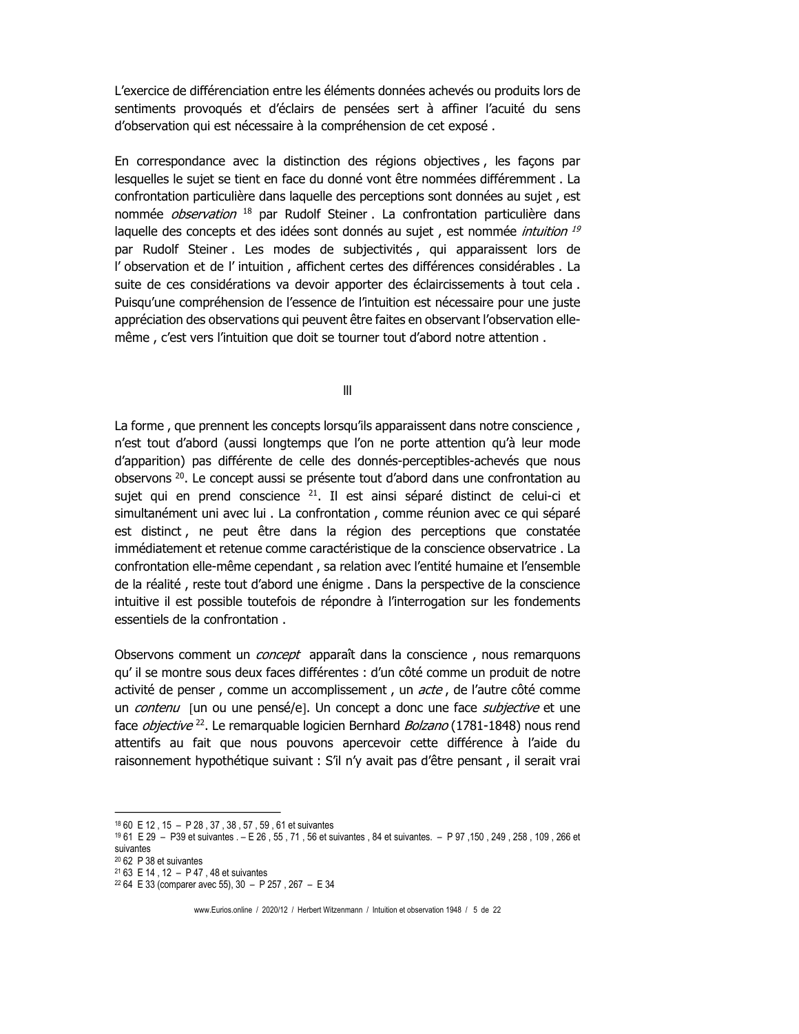L'exercice de différenciation entre les éléments données achevés ou produits lors de sentiments provoqués et d'éclairs de pensées sert à affiner l'acuité du sens d'observation qui est nécessaire à la compréhension de cet exposé.

En correspondance avec la distinction des régions objectives, les façons par lesquelles le sujet se tient en face du donné vont être nommées différemment. La confrontation particulière dans laquelle des perceptions sont données au sujet, est nommée observation<sup>18</sup> par Rudolf Steiner. La confrontation particulière dans laquelle des concepts et des idées sont donnés au sujet, est nommée *intuition* 19 par Rudolf Steiner. Les modes de subjectivités, qui apparaissent lors de l'observation et de l'intuition, affichent certes des différences considérables. La suite de ces considérations va devoir apporter des éclaircissements à tout cela. Puisqu'une compréhension de l'essence de l'intuition est nécessaire pour une juste appréciation des observations qui peuvent être faites en observant l'observation ellemême, c'est vers l'intuition que doit se tourner tout d'abord notre attention.

 $III$ 

La forme, que prennent les concepts lorsqu'ils apparaissent dans notre conscience, n'est tout d'abord (aussi longtemps que l'on ne porte attention qu'à leur mode d'apparition) pas différente de celle des donnés-perceptibles-achevés que nous observons <sup>20</sup>. Le concept aussi se présente tout d'abord dans une confrontation au sujet qui en prend conscience <sup>21</sup>. Il est ainsi séparé distinct de celui-ci et simultanément uni avec lui. La confrontation, comme réunion avec ce qui séparé est distinct, ne peut être dans la région des perceptions que constatée immédiatement et retenue comme caractéristique de la conscience observatrice . La confrontation elle-même cependant, sa relation avec l'entité humaine et l'ensemble de la réalité, reste tout d'abord une énigme. Dans la perspective de la conscience intuitive il est possible toutefois de répondre à l'interrogation sur les fondements essentiels de la confrontation.

Observons comment un *concept* apparaît dans la conscience, nous remarquons qu'il se montre sous deux faces différentes : d'un côté comme un produit de notre activité de penser, comme un accomplissement, un acte, de l'autre côté comme un contenu [un ou une pensé/e]. Un concept a donc une face subjective et une face *objective*<sup>22</sup>. Le remarquable logicien Bernhard *Bolzano* (1781-1848) nous rend attentifs au fait que nous pouvons apercevoir cette différence à l'aide du raisonnement hypothétique suivant : S'il n'y avait pas d'être pensant, il serait vrai

<sup>&</sup>lt;sup>18</sup> 60 E 12, 15 - P 28, 37, 38, 57, 59, 61 et suivantes

<sup>19 61</sup> E 29 - P39 et suivantes . - E 26, 55, 71, 56 et suivantes, 84 et suivantes. - P 97, 150, 249, 258, 109, 266 et suivantes

<sup>&</sup>lt;sup>20</sup> 62 P 38 et suivantes

 $2163$  E 14  $.12$  – P 47  $.48$  et suivantes

<sup>&</sup>lt;sup>22</sup> 64 E 33 (comparer avec 55), 30 - P 257, 267 - E 34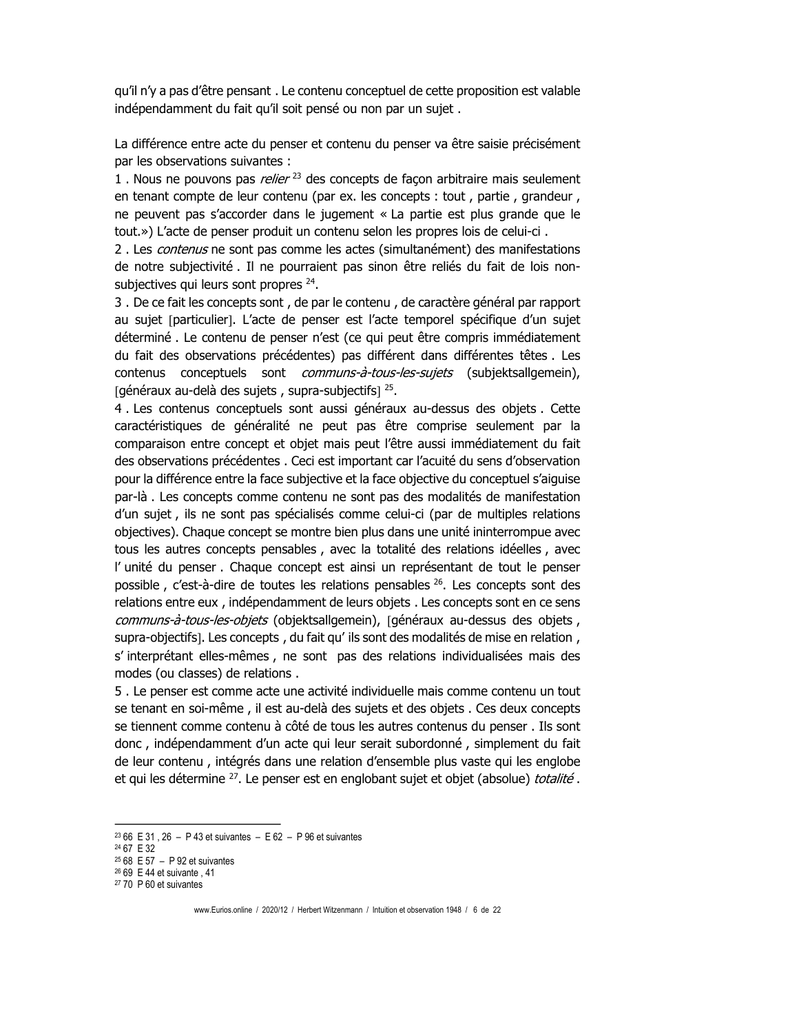qu'il n'y a pas d'être pensant. Le contenu conceptuel de cette proposition est valable indépendamment du fait qu'il soit pensé ou non par un sujet.

La différence entre acte du penser et contenu du penser va être saisie précisément par les observations suivantes :

1. Nous ne pouvons pas *relier*<sup>23</sup> des concepts de facon arbitraire mais seulement en tenant compte de leur contenu (par ex. les concepts : tout, partie, grandeur, ne peuvent pas s'accorder dans le jugement « La partie est plus grande que le tout.») L'acte de penser produit un contenu selon les propres lois de celui-ci.

2. Les *contenus* ne sont pas comme les actes (simultanément) des manifestations de notre subjectivité. Il ne pourraient pas sinon être reliés du fait de lois nonsubjectives qui leurs sont propres <sup>24</sup>.

3. De ce fait les concepts sont, de par le contenu, de caractère général par rapport au sujet [particulier]. L'acte de penser est l'acte temporel spécifique d'un sujet déterminé. Le contenu de penser n'est (ce qui peut être compris immédiatement du fait des observations précédentes) pas différent dans différentes têtes. Les contenus conceptuels sont *communs-à-tous-les-sujets* (subjektsallgemein), [généraux au-delà des sujets, supra-subjectifs]<sup>25</sup>.

4. Les contenus conceptuels sont aussi généraux au-dessus des objets. Cette caractéristiques de généralité ne peut pas être comprise seulement par la comparaison entre concept et objet mais peut l'être aussi immédiatement du fait des observations précédentes . Ceci est important car l'acuité du sens d'observation pour la différence entre la face subjective et la face objective du conceptuel s'aiguise par-là. Les concepts comme contenu ne sont pas des modalités de manifestation d'un sujet, ils ne sont pas spécialisés comme celui-ci (par de multiples relations objectives). Chaque concept se montre bien plus dans une unité ininterrompue avec tous les autres concepts pensables, avec la totalité des relations idéelles, avec l'unité du penser. Chaque concept est ainsi un représentant de tout le penser possible, c'est-à-dire de toutes les relations pensables <sup>26</sup>. Les concepts sont des relations entre eux, indépendamment de leurs objets. Les concepts sont en ce sens *communs-à-tous-les-objets* (objektsallgemein), [généraux au-dessus des objets, supra-objectifs]. Les concepts, du fait qu'ils sont des modalités de mise en relation, s' interprétant elles-mêmes, ne sont pas des relations individualisées mais des modes (ou classes) de relations.

5. Le penser est comme acte une activité individuelle mais comme contenu un tout se tenant en soi-même, il est au-delà des sujets et des objets. Ces deux concepts se tiennent comme contenu à côté de tous les autres contenus du penser. Ils sont donc, indépendamment d'un acte qui leur serait subordonné, simplement du fait de leur contenu, intégrés dans une relation d'ensemble plus vaste qui les englobe et qui les détermine <sup>27</sup>. Le penser est en englobant sujet et objet (absolue) *totalité*.

26 69 E 44 et suivante, 41

<sup>&</sup>lt;sup>23</sup> 66 E 31, 26 - P 43 et suivantes - E 62 - P 96 et suivantes

<sup>&</sup>lt;sup>24</sup> 67 E 32

 $2568$  E 57 - P 92 et suivantes

<sup>&</sup>lt;sup>27</sup> 70 P 60 et suivantes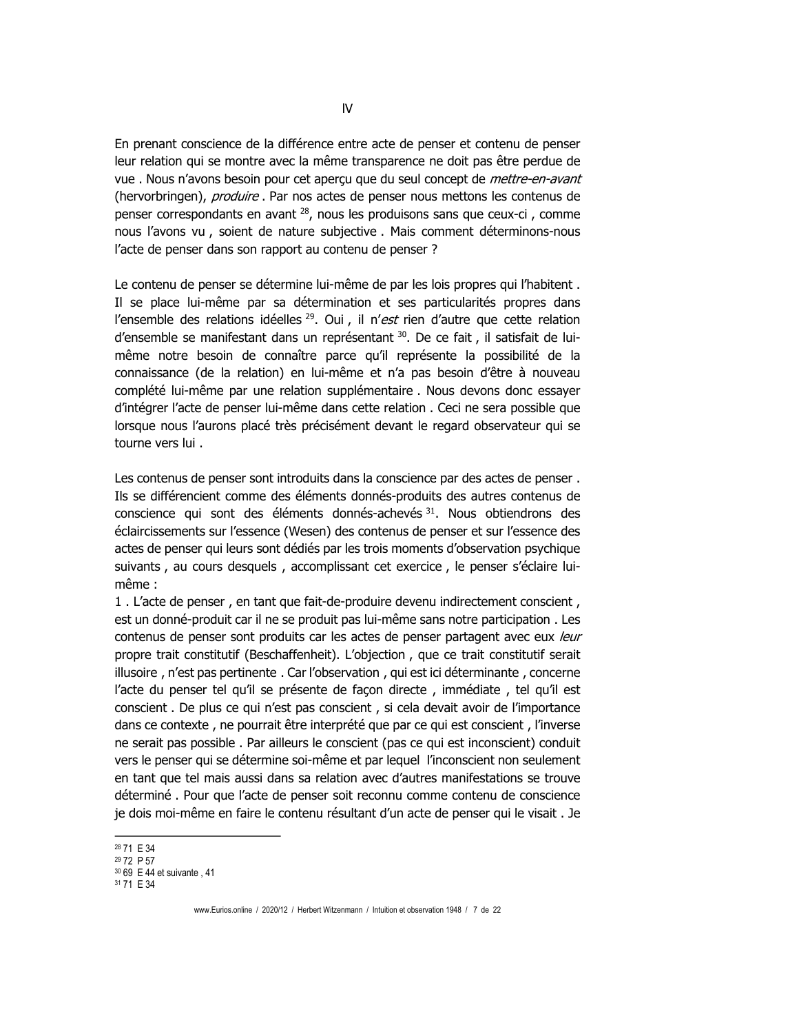En prenant conscience de la différence entre acte de penser et contenu de penser leur relation qui se montre avec la même transparence ne doit pas être perdue de vue. Nous n'avons besoin pour cet aperçu que du seul concept de mettre-en-avant (hervorbringen), *produire* . Par nos actes de penser nous mettons les contenus de penser correspondants en avant <sup>28</sup>, nous les produisons sans que ceux-ci, comme nous l'avons vu, soient de nature subjective. Mais comment déterminons-nous l'acte de penser dans son rapport au contenu de penser ?

Le contenu de penser se détermine lui-même de par les lois propres qui l'habitent. Il se place lui-même par sa détermination et ses particularités propres dans l'ensemble des relations idéelles <sup>29</sup>. Oui, il n'est rien d'autre que cette relation d'ensemble se manifestant dans un représentant 30. De ce fait, il satisfait de luimême notre besoin de connaître parce qu'il représente la possibilité de la connaissance (de la relation) en lui-même et n'a pas besoin d'être à nouveau complété lui-même par une relation supplémentaire. Nous devons donc essayer d'intégrer l'acte de penser lui-même dans cette relation . Ceci ne sera possible que lorsque nous l'aurons placé très précisément devant le regard observateur qui se tourne vers lui.

Les contenus de penser sont introduits dans la conscience par des actes de penser. Ils se différencient comme des éléments donnés-produits des autres contenus de conscience qui sont des éléments donnés-achevés 31. Nous obtiendrons des éclaircissements sur l'essence (Wesen) des contenus de penser et sur l'essence des actes de penser qui leurs sont dédiés par les trois moments d'observation psychique suivants, au cours desquels, accomplissant cet exercice, le penser s'éclaire luimême:

1. L'acte de penser, en tant que fait-de-produire devenu indirectement conscient, est un donné-produit car il ne se produit pas lui-même sans notre participation. Les contenus de penser sont produits car les actes de penser partagent avec eux leur propre trait constitutif (Beschaffenheit). L'objection, que ce trait constitutif serait illusoire, n'est pas pertinente. Car l'observation, qui est ici déterminante, concerne l'acte du penser tel qu'il se présente de façon directe, immédiate, tel qu'il est conscient. De plus ce qui n'est pas conscient, si cela devait avoir de l'importance dans ce contexte, ne pourrait être interprété que par ce qui est conscient, l'inverse ne serait pas possible. Par ailleurs le conscient (pas ce qui est inconscient) conduit vers le penser qui se détermine soi-même et par lequel l'inconscient non seulement en tant que tel mais aussi dans sa relation avec d'autres manifestations se trouve déterminé. Pour que l'acte de penser soit reconnu comme contenu de conscience je dois moi-même en faire le contenu résultant d'un acte de penser qui le visait. Je

<sup>&</sup>lt;sup>28</sup> 71 E 34

<sup>&</sup>lt;sup>29</sup> 72 P 57

<sup>30 69</sup> E 44 et suivante . 41

<sup>31 71</sup> E 34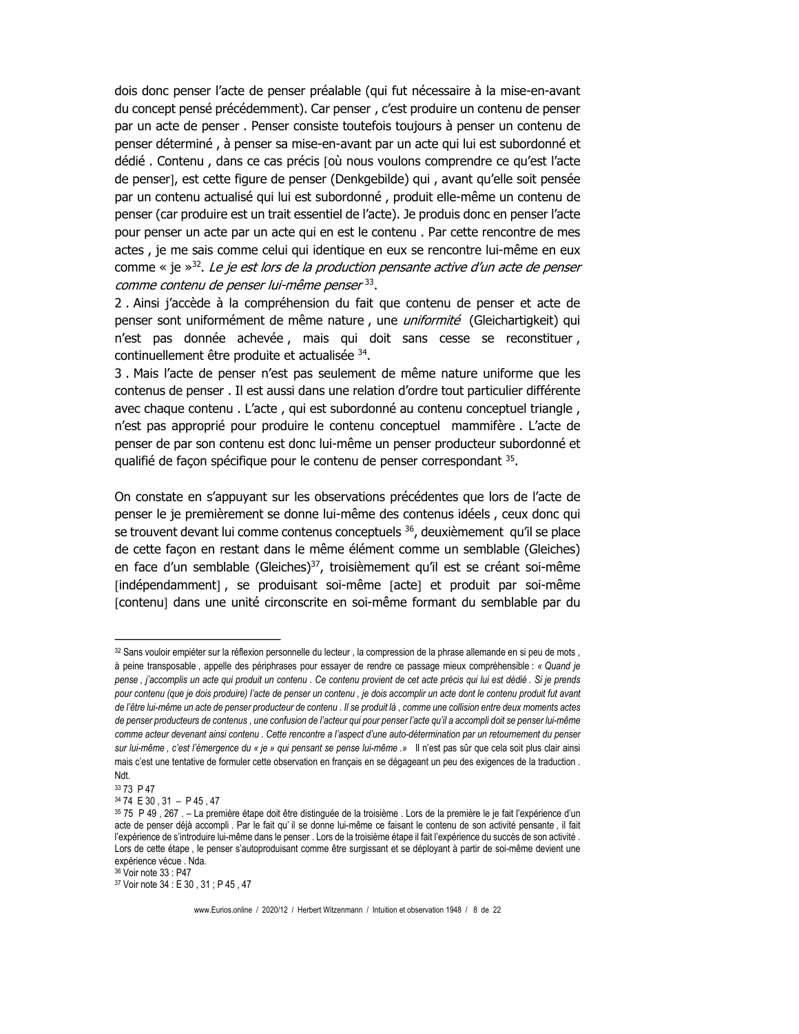dois donc penser l'acte de penser préalable (qui fut nécessaire à la mise-en-avant du concept pensé précédemment). Car penser, c'est produire un contenu de penser par un acte de penser. Penser consiste toutefois toujours à penser un contenu de penser déterminé, à penser sa mise-en-avant par un acte qui lui est subordonné et dédié. Contenu, dans ce cas précis [où nous voulons comprendre ce qu'est l'acte de penser], est cette figure de penser (Denkgebilde) qui, avant qu'elle soit pensée par un contenu actualisé qui lui est subordonné, produit elle-même un contenu de penser (car produire est un trait essentiel de l'acte). Je produis donc en penser l'acte pour penser un acte par un acte qui en est le contenu. Par cette rencontre de mes actes, je me sais comme celui qui identique en eux se rencontre lui-même en eux comme « je  $\gg$ <sup>32</sup>. Le je est lors de la production pensante active d'un acte de penser comme contenu de penser lui-même penser<sup>33</sup>.

2. Ainsi j'accède à la compréhension du fait que contenu de penser et acte de penser sont uniformément de même nature, une *uniformité* (Gleichartigkeit) qui n'est pas donnée achevée, mais qui doit sans cesse se reconstituer, continuellement être produite et actualisée 34.

3. Mais l'acte de penser n'est pas seulement de même nature uniforme que les contenus de penser. Il est aussi dans une relation d'ordre tout particulier différente avec chaque contenu. L'acte, qui est subordonné au contenu conceptuel triangle, n'est pas approprié pour produire le contenu conceptuel mammifère. L'acte de penser de par son contenu est donc lui-même un penser producteur subordonné et qualifié de façon spécifique pour le contenu de penser correspondant 35.

On constate en s'appuyant sur les observations précédentes que lors de l'acte de penser le je premièrement se donne lui-même des contenus idéels, ceux donc qui se trouvent devant lui comme contenus conceptuels <sup>36</sup>, deuxièmement qu'il se place de cette façon en restant dans le même élément comme un semblable (Gleiches) en face d'un semblable (Gleiches)<sup>37</sup>, troisièmement qu'il est se créant soi-même [indépendamment], se produisant soi-même [acte] et produit par soi-même [contenu] dans une unité circonscrite en soi-même formant du semblable par du

<sup>32</sup> Sans vouloir empiéter sur la réflexion personnelle du lecteur, la compression de la phrase allemande en si peu de mots, à peine transposable, appelle des périphrases pour essayer de rendre ce passage mieux compréhensible : « Quand je pense, j'accomplis un acte qui produit un contenu. Ce contenu provient de cet acte précis qui lui est dédié. Si je prends pour contenu (que je dois produire) l'acte de penser un contenu, je dois accomplir un acte dont le contenu produit fut avant de l'être lui-même un acte de penser producteur de contenu . Il se produit là , comme une collision entre deux moments actes de penser producteurs de contenus, une confusion de l'acteur qui pour penser l'acte qu'il a accompli doit se penser lui-même comme acteur devenant ainsi contenu. Cette rencontre a l'aspect d'une auto-détermination par un retournement du penser sur lui-même, c'est l'émergence du « je » qui pensant se pense lui-même .» Il n'est pas sûr que cela soit plus clair ainsi mais c'est une tentative de formuler cette observation en français en se dégageant un peu des exigences de la traduction. Ndt

<sup>33 73</sup> P 47

<sup>34 74</sup> E 30, 31 - P 45, 47

<sup>35 75</sup> P 49, 267. - La première étape doit être distinguée de la troisième. Lors de la première le je fait l'expérience d'un acte de penser déjà accompli. Par le fait qu'il se donne lui-même ce faisant le contenu de son activité pensante, il fait l'expérience de s'introduire lui-même dans le penser . Lors de la troisième étape il fait l'expérience du succès de son activité. Lors de cette étape, le penser s'autoproduisant comme être surgissant et se déployant à partir de soi-même devient une expérience vécue . Nda.

<sup>&</sup>lt;sup>36</sup> Voir note 33 : P47

<sup>37</sup> Voir note 34 : E 30, 31; P 45, 47

www.Eurios.online / 2020/12 / Herbert Witzenmann / Intuition et observation 1948 / 8 de 22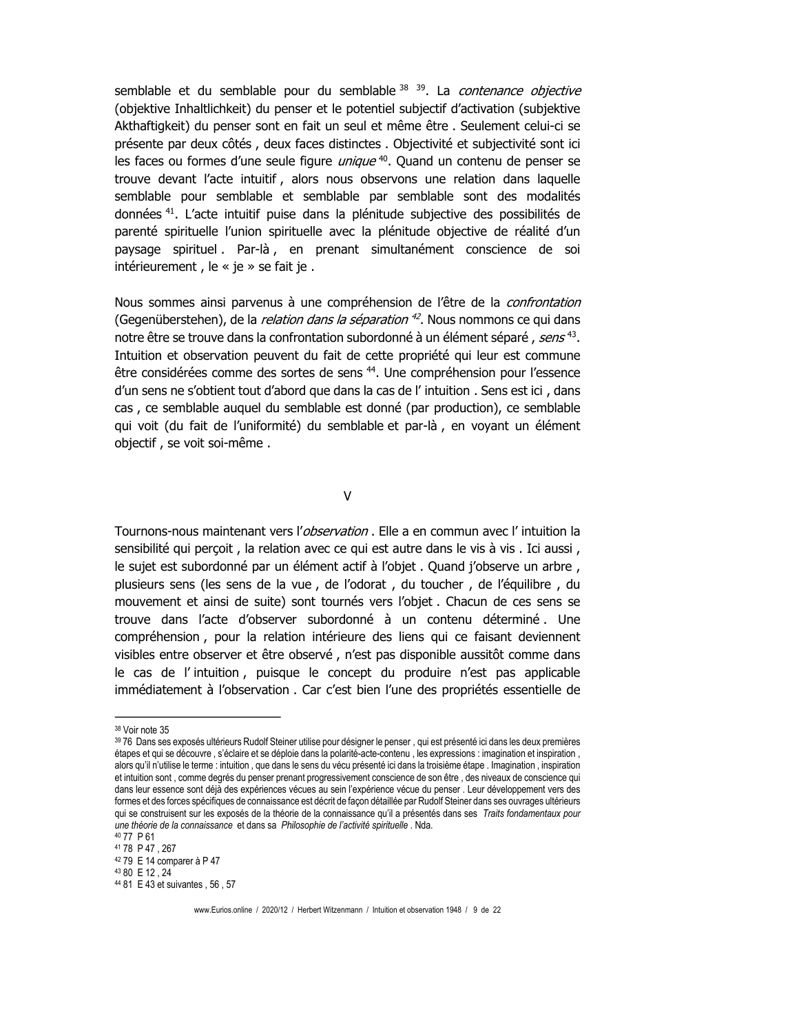semblable et du semblable pour du semblable 38 39. La contenance objective (objektive Inhaltlichkeit) du penser et le potentiel subjectif d'activation (subjektive Akthaftigkeit) du penser sont en fait un seul et même être. Seulement celui-ci se présente par deux côtés, deux faces distinctes. Objectivité et subjectivité sont ici les faces ou formes d'une seule figure *unique*<sup>40</sup>. Quand un contenu de penser se trouve devant l'acte intuitif, alors nous observons une relation dans laquelle semblable pour semblable et semblable par semblable sont des modalités données<sup>41</sup>. L'acte intuitif puise dans la plénitude subjective des possibilités de parenté spirituelle l'union spirituelle avec la plénitude objective de réalité d'un paysage spirituel. Par-là, en prenant simultanément conscience de soi intérieurement, le « je » se fait je.

Nous sommes ainsi parvenus à une compréhension de l'être de la *confrontation* (Gegenüberstehen), de la *relation dans la séparation* <sup>42</sup>. Nous nommons ce qui dans notre être se trouve dans la confrontation subordonné à un élément séparé, sens<sup>43</sup>. Intuition et observation peuvent du fait de cette propriété qui leur est commune être considérées comme des sortes de sens <sup>44</sup>. Une compréhension pour l'essence d'un sens ne s'obtient tout d'abord que dans la cas de l' intuition. Sens est ici, dans cas, ce semblable auquel du semblable est donné (par production), ce semblable qui voit (du fait de l'uniformité) du semblable et par-là, en voyant un élément objectif, se voit soi-même.

 $\overline{V}$ 

Tournons-nous maintenant vers l'observation . Elle a en commun avec l' intuition la sensibilité qui percoit, la relation avec ce qui est autre dans le vis à vis. Ici aussi, le sujet est subordonné par un élément actif à l'objet. Quand j'observe un arbre, plusieurs sens (les sens de la vue, de l'odorat, du toucher, de l'équilibre, du mouvement et ainsi de suite) sont tournés vers l'objet. Chacun de ces sens se trouve dans l'acte d'observer subordonné à un contenu déterminé. Une compréhension, pour la relation intérieure des liens qui ce faisant deviennent visibles entre observer et être observé, n'est pas disponible aussitôt comme dans le cas de l'intuition, puisque le concept du produire n'est pas applicable immédiatement à l'observation. Car c'est bien l'une des propriétés essentielle de

<sup>&</sup>lt;sup>38</sup> Voir note 35

<sup>39 76</sup> Dans ses exposés ultérieurs Rudolf Steiner utilise pour désigner le penser, qui est présenté ici dans les deux premières étapes et qui se découvre, s'éclaire et se déploie dans la polarité-acte-contenu, les expressions : imagination et inspiration, alors qu'il n'utilise le terme : intuition, que dans le sens du vécu présenté ici dans la troisième étape, Imagination, inspiration et intuition sont, comme degrés du penser prenant progressivement conscience de son être, des niveaux de conscience qui dans leur essence sont déjà des expériences vécues au sein l'expérience vécue du penser. Leur développement vers des formes et des forces spécifiques de connaissance est décrit de façon détaillée par Rudolf Steiner dans ses ouvrages ultérieurs qui se construisent sur les exposés de la théorie de la connaissance qu'il a présentés dans ses Traits fondamentaux pour une théorie de la connaissance et dans sa Philosophie de l'activité spirituelle. Nda.

<sup>40 77</sup> P 61

<sup>41 78</sup> P 47, 267

<sup>42 79</sup> E 14 comparer à P 47

<sup>43 80</sup> E 12.24

<sup>&</sup>lt;sup>44</sup> 81 E 43 et suivantes, 56, 57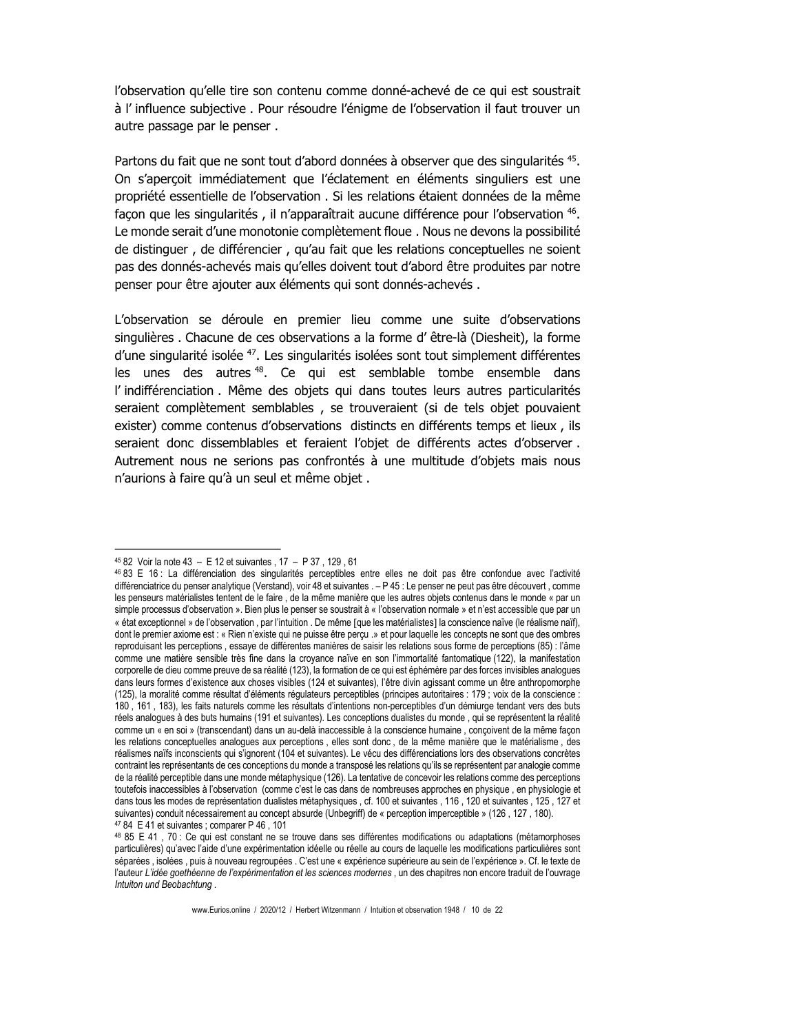l'observation qu'elle tire son contenu comme donné-achevé de ce qui est soustrait à l'influence subjective. Pour résoudre l'énigme de l'observation il faut trouver un autre passage par le penser.

Partons du fait que ne sont tout d'abord données à observer que des singularités <sup>45</sup>. On s'apercoit immédiatement que l'éclatement en éléments singuliers est une propriété essentielle de l'observation. Si les relations étaient données de la même façon que les singularités, il n'apparaîtrait aucune différence pour l'observation <sup>46</sup>. Le monde serait d'une monotonie complètement floue. Nous ne devons la possibilité de distinguer, de différencier, qu'au fait que les relations conceptuelles ne soient pas des donnés-achevés mais qu'elles doivent tout d'abord être produites par notre penser pour être ajouter aux éléments qui sont donnés-achevés.

L'observation se déroule en premier lieu comme une suite d'observations singulières. Chacune de ces observations a la forme d'être-là (Diesheit), la forme d'une singularité isolée <sup>47</sup>. Les singularités isolées sont tout simplement différentes les unes des autres<sup>48</sup>. Ce qui est semblable tombe ensemble dans l'indifférenciation. Même des objets qui dans toutes leurs autres particularités seraient complètement semblables, se trouveraient (si de tels objet pouvaient exister) comme contenus d'observations distincts en différents temps et lieux, ils seraient donc dissemblables et feraient l'objet de différents actes d'observer. Autrement nous ne serions pas confrontés à une multitude d'objets mais nous n'aurions à faire qu'à un seul et même objet.

<sup>45 82</sup> Voir la note 43 - E 12 et suivantes, 17 - P 37, 129, 61

<sup>46 83</sup> E 16 : La différenciation des singularités perceptibles entre elles ne doit pas être confondue avec l'activité différenciatrice du penser analytique (Verstand), voir 48 et suivantes . - P 45 : Le penser ne peut pas être découvert, comme les penseurs matérialistes tentent de le faire, de la même manière que les autres objets contenus dans le monde « par un simple processus d'observation ». Bien plus le penser se soustrait à « l'observation normale » et n'est accessible que par un « état exceptionnel » de l'observation, par l'intuition . De même [que les matérialistes] la conscience naïve (le réalisme naïf), dont le premier axiome est : « Rien n'existe qui ne puisse être percu .» et pour laquelle les concepts ne sont que des ombres reproduisant les perceptions, essaye de différentes manières de saisir les relations sous forme de perceptions (85) : l'âme comme une matière sensible très fine dans la croyance naïve en son l'immortalité fantomatique (122), la manifestation corporelle de dieu comme preuve de sa réalité (123), la formation de ce qui est éphémère par des forces invisibles analoques dans leurs formes d'existence aux choses visibles (124 et suivantes), l'être divin agissant comme un être anthropomorphe (125), la moralité comme résultat d'éléments régulateurs perceptibles (principes autoritaires : 179 ; voix de la conscience : 180, 161, 183), les faits naturels comme les résultats d'intentions non-perceptibles d'un démiurge tendant vers des buts réels analogues à des buts humains (191 et suivantes). Les conceptions dualistes du monde, qui se représentent la réalité comme un « en soi » (transcendant) dans un au-delà inaccessible à la conscience humaine, conçoivent de la même façon les relations conceptuelles analogues aux perceptions, elles sont donc, de la même manière que le matérialisme, des réalismes naïfs inconscients qui s'ignorent (104 et suivantes). Le vécu des différenciations lors des observations concrètes contraint les représentants de ces conceptions du monde a transposé les relations qu'ils se représentent par analogie comme de la réalité perceptible dans une monde métaphysique (126). La tentative de concevoir les relations comme des perceptions toutefois inaccessibles à l'observation (comme c'est le cas dans de nombreuses approches en physique, en physiologie et dans tous les modes de représentation dualistes métaphysiques , cf. 100 et suivantes , 116 , 120 et suivantes , 125 , 127 et suivantes) conduit nécessairement au concept absurde (Unbegriff) de « perception imperceptible » (126, 127, 180). <sup>47</sup> 84 E 41 et suivantes ; comparer P 46, 101

<sup>48 85</sup> E 41, 70 : Ce qui est constant ne se trouve dans ses différentes modifications ou adaptations (métamorphoses particulières) qu'avec l'aide d'une expérimentation idéelle ou réelle au cours de laquelle les modifications particulières sont séparées, isolées, puis à nouveau regroupées . C'est une « expérience supérieure au sein de l'expérience ». Cf. le texte de l'auteur L'idée goethéenne de l'expérimentation et les sciences modernes, un des chapitres non encore traduit de l'ouvrage Intuiton und Beobachtung.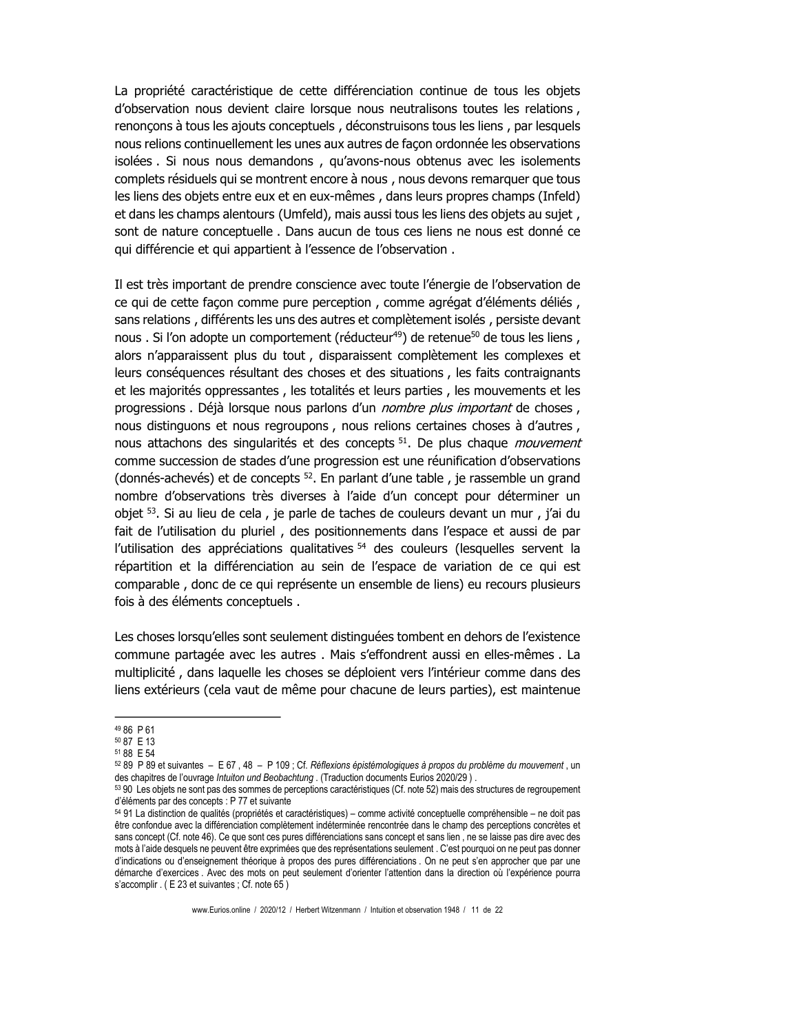La propriété caractéristique de cette différenciation continue de tous les objets d'observation nous devient claire lorsque nous neutralisons toutes les relations, renoncons à tous les ajouts conceptuels, déconstruisons tous les liens, par lesquels nous relions continuellement les unes aux autres de façon ordonnée les observations isolées. Si nous nous demandons, qu'avons-nous obtenus avec les isolements complets résiduels qui se montrent encore à nous, nous devons remarquer que tous les liens des objets entre eux et en eux-mêmes, dans leurs propres champs (Infeld) et dans les champs alentours (Umfeld), mais aussi tous les liens des objets au sujet, sont de nature conceptuelle. Dans aucun de tous ces liens ne nous est donné ce qui différencie et qui appartient à l'essence de l'observation.

Il est très important de prendre conscience avec toute l'énergie de l'observation de ce qui de cette façon comme pure perception, comme agrégat d'éléments déliés, sans relations, différents les uns des autres et complètement isolés, persiste devant nous . Si l'on adopte un comportement (réducteur<sup>49</sup>) de retenue<sup>50</sup> de tous les liens, alors n'apparaissent plus du tout, disparaissent complètement les complexes et leurs conséquences résultant des choses et des situations, les faits contraignants et les majorités oppressantes, les totalités et leurs parties, les mouvements et les progressions. Déjà lorsque nous parlons d'un nombre plus important de choses, nous distinguons et nous regroupons, nous relions certaines choses à d'autres, nous attachons des singularités et des concepts<sup>51</sup>. De plus chaque *mouvement* comme succession de stades d'une progression est une réunification d'observations (donnés-achevés) et de concepts  $52$ . En parlant d'une table, je rassemble un grand nombre d'observations très diverses à l'aide d'un concept pour déterminer un objet <sup>53</sup>. Si au lieu de cela, je parle de taches de couleurs devant un mur, j'ai du fait de l'utilisation du pluriel, des positionnements dans l'espace et aussi de par l'utilisation des appréciations qualitatives <sup>54</sup> des couleurs (lesquelles servent la répartition et la différenciation au sein de l'espace de variation de ce qui est comparable, donc de ce qui représente un ensemble de liens) eu recours plusieurs fois à des éléments conceptuels.

Les choses lorsqu'elles sont seulement distinguées tombent en dehors de l'existence commune partagée avec les autres. Mais s'effondrent aussi en elles-mêmes. La multiplicité, dans laquelle les choses se déploient vers l'intérieur comme dans des liens extérieurs (cela vaut de même pour chacune de leurs parties), est maintenue

<sup>49 86</sup> P 61

<sup>50 87</sup> E 13 51 88 F 54

 $5289$  P 89 et suivantes – E 67, 48 – P 109; Cf. Réflexions épistémologiques à propos du problème du mouvement, un des chapitres de l'ouvrage Intuiton und Beobachtung. (Traduction documents Eurios 2020/29).

<sup>53 90</sup> Les objets ne sont pas des sommes de perceptions caractéristiques (Cf. note 52) mais des structures de regroupement d'éléments par des concepts : P 77 et suivante

<sup>54 91</sup> La distinction de qualités (propriétés et caractéristiques) – comme activité conceptuelle compréhensible – ne doit pas être confondue avec la différenciation complètement indéterminée rencontrée dans le champ des perceptions concrètes et sans concept (Cf. note 46). Ce que sont ces pures différenciations sans concept et sans lien, ne se laisse pas dire avec des mots à l'aide desquels ne peuvent être exprimées que des représentations seulement. C'est pourquoi on ne peut pas donner d'indications ou d'enseignement théorique à propos des pures différenciations. On ne peut s'en approcher que par une démarche d'exercices. Avec des mots on peut seulement d'orienter l'attention dans la direction où l'expérience pourra s'accomplir. (E 23 et suivantes ; Cf. note 65)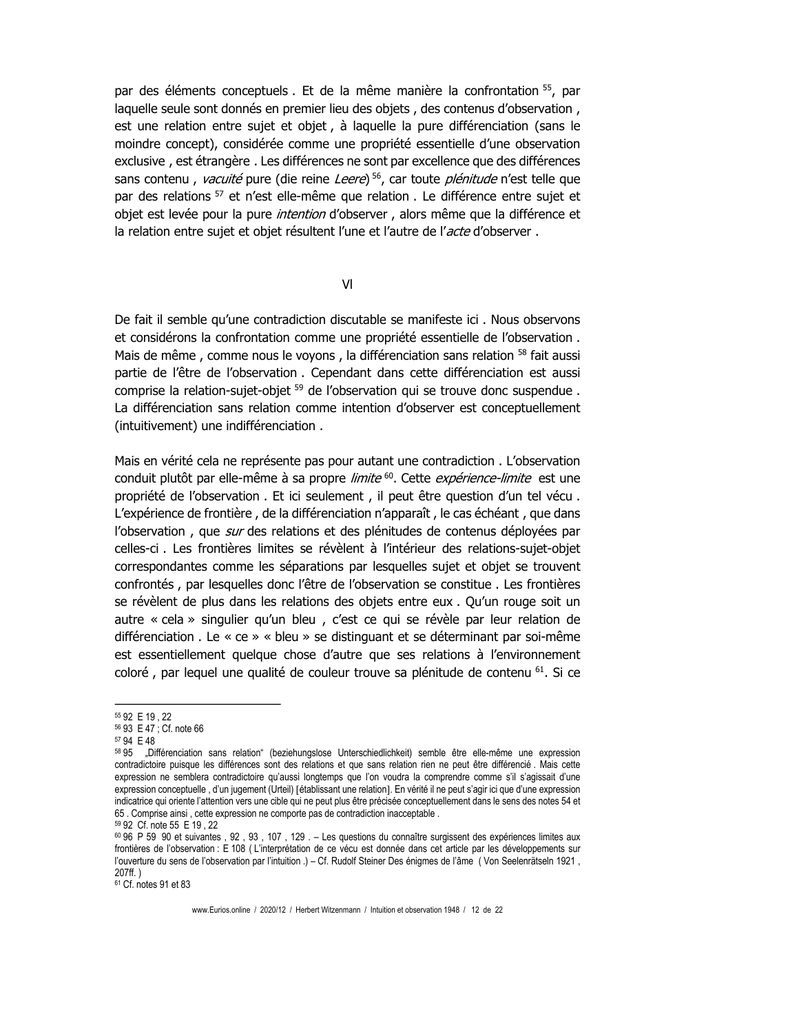par des éléments conceptuels. Et de la même manière la confrontation <sup>55</sup>, par laquelle seule sont donnés en premier lieu des objets, des contenus d'observation, est une relation entre sujet et objet, à laquelle la pure différenciation (sans le moindre concept), considérée comme une propriété essentielle d'une observation exclusive, est étrangère. Les différences ne sont par excellence que des différences sans contenu, vacuité pure (die reine Leere)<sup>56</sup>, car toute *plénitude* n'est telle que par des relations <sup>57</sup> et n'est elle-même que relation. Le différence entre sujet et objet est levée pour la pure intention d'observer, alors même que la différence et la relation entre sujet et objet résultent l'une et l'autre de l'acte d'observer.

 $VI$ 

De fait il semble qu'une contradiction discutable se manifeste ici. Nous observons et considérons la confrontation comme une propriété essentielle de l'observation. Mais de même, comme nous le voyons, la différenciation sans relation 58 fait aussi partie de l'être de l'observation . Cependant dans cette différenciation est aussi comprise la relation-sujet-objet <sup>59</sup> de l'observation qui se trouve donc suspendue. La différenciation sans relation comme intention d'observer est conceptuellement (intuitivement) une indifférenciation.

Mais en vérité cela ne représente pas pour autant une contradiction . L'observation conduit plutôt par elle-même à sa propre *limite* <sup>60</sup>. Cette *expérience-limite* est une propriété de l'observation . Et ici seulement, il peut être question d'un tel vécu. L'expérience de frontière, de la différenciation n'apparaît, le cas échéant, que dans l'observation, que sur des relations et des plénitudes de contenus déployées par celles-ci. Les frontières limites se révèlent à l'intérieur des relations-sujet-objet correspondantes comme les séparations par lesquelles sujet et objet se trouvent confrontés, par lesquelles donc l'être de l'observation se constitue. Les frontières se révèlent de plus dans les relations des objets entre eux . Qu'un rouge soit un autre « cela » singulier qu'un bleu, c'est ce qui se révèle par leur relation de différenciation . Le « ce » « bleu » se distinguant et se déterminant par soi-même est essentiellement quelque chose d'autre que ses relations à l'environnement coloré, par lequel une qualité de couleur trouve sa plénitude de contenu <sup>61</sup>. Si ce

<sup>61</sup> Cf. notes 91 et 83

<sup>55 92</sup> E 19, 22 56 93 E 47 ; Cf. note 66

<sup>57 94</sup> E 48

<sup>58 95 &</sup>quot;Différenciation sans relation" (beziehungslose Unterschiedlichkeit) semble être elle-même une expression contradictoire puisque les différences sont des relations et que sans relation rien ne peut être différencié. Mais cette expression ne semblera contradictoire qu'aussi longtemps que l'on voudra la comprendre comme s'il s'agissait d'une expression conceptuelle, d'un jugement (Urteil) [établissant une relation]. En vérité il ne peut s'agir ici que d'une expression indicatrice qui oriente l'attention vers une cible qui ne peut plus être précisée conceptuellement dans le sens des notes 54 et 65 Comprise ainsi, cette expression ne comporte pas de contradiction inacceptable.

<sup>59 92</sup> Cf. note 55 E 19, 22

<sup>60 96</sup> P 59 90 et suivantes, 92, 93, 107, 129. - Les questions du connaître surgissent des expériences limites aux frontières de l'observation : E 108 (L'interprétation de ce vécu est donnée dans cet article par les développements sur l'ouverture du sens de l'observation par l'intuition.) - Cf. Rudolf Steiner Des énigmes de l'âme (Von Seelenrätseln 1921,  $207ff.$ )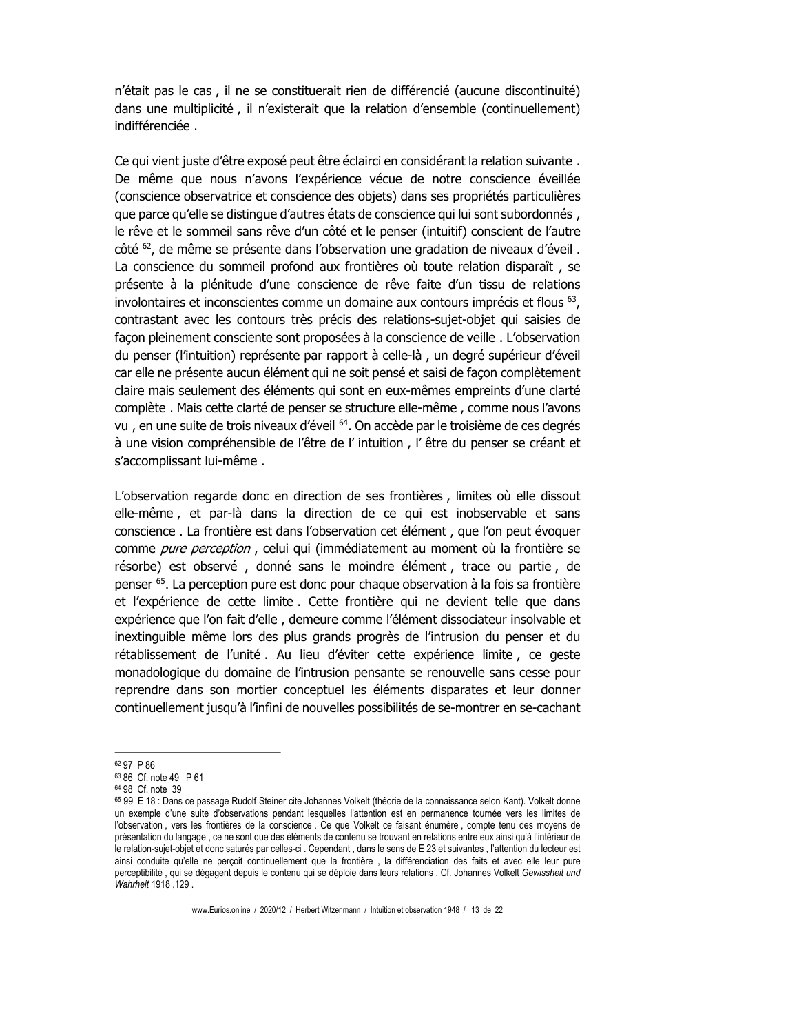n'était pas le cas, il ne se constituerait rien de différencié (aucune discontinuité) dans une multiplicité, il n'existerait que la relation d'ensemble (continuellement) indifférenciée

Ce qui vient juste d'être exposé peut être éclairci en considérant la relation suivante. De même que nous n'avons l'expérience vécue de notre conscience éveillée (conscience observatrice et conscience des objets) dans ses propriétés particulières que parce qu'elle se distingue d'autres états de conscience qui lui sont subordonnés, le rêve et le sommeil sans rêve d'un côté et le penser (intuitif) conscient de l'autre côté <sup>62</sup>, de même se présente dans l'observation une gradation de niveaux d'éveil. La conscience du sommeil profond aux frontières où toute relation disparaît, se présente à la plénitude d'une conscience de rêve faite d'un tissu de relations involontaires et inconscientes comme un domaine aux contours imprécis et flous <sup>63</sup>, contrastant avec les contours très précis des relations-sujet-objet qui saisies de facon pleinement consciente sont proposées à la conscience de veille. L'observation du penser (l'intuition) représente par rapport à celle-là, un degré supérieur d'éveil car elle ne présente aucun élément qui ne soit pensé et saisi de façon complètement claire mais seulement des éléments qui sont en eux-mêmes empreints d'une clarté complète. Mais cette clarté de penser se structure elle-même, comme nous l'avons vu, en une suite de trois niveaux d'éveil <sup>64</sup>. On accède par le troisième de ces degrés à une vision compréhensible de l'être de l'intuition, l'être du penser se créant et s'accomplissant lui-même.

L'observation regarde donc en direction de ses frontières, limites où elle dissout elle-même, et par-là dans la direction de ce qui est inobservable et sans conscience . La frontière est dans l'observation cet élément, que l'on peut évoquer comme *pure perception*, celui qui (immédiatement au moment où la frontière se résorbe) est observé, donné sans le moindre élément, trace ou partie, de penser <sup>65</sup>. La perception pure est donc pour chaque observation à la fois sa frontière et l'expérience de cette limite. Cette frontière qui ne devient telle que dans expérience que l'on fait d'elle, demeure comme l'élément dissociateur insolvable et inextinguible même lors des plus grands progrès de l'intrusion du penser et du rétablissement de l'unité. Au lieu d'éviter cette expérience limite, ce geste monadologique du domaine de l'intrusion pensante se renouvelle sans cesse pour reprendre dans son mortier conceptuel les éléments disparates et leur donner continuellement jusqu'à l'infini de nouvelles possibilités de se-montrer en se-cachant

<sup>62 97</sup> P 86

<sup>63 86</sup> Cf. note 49 P 61

<sup>64 98</sup> Cf. note 39

<sup>65 99</sup> E 18 : Dans ce passage Rudolf Steiner cite Johannes Volkelt (théorie de la connaissance selon Kant). Volkelt donne un exemple d'une suite d'observations pendant lesquelles l'attention est en permanence tournée vers les limites de l'observation, vers les frontières de la conscience. Ce que Volkelt ce faisant énumère, compte tenu des moyens de présentation du langage, ce ne sont que des éléments de contenu se trouvant en relations entre eux ainsi qu'à l'intérieur de le relation-sujet-objet et donc saturés par celles-ci. Cependant, dans le sens de E 23 et suivantes, l'attention du lecteur est ainsi conduite qu'elle ne perçoit continuellement que la frontière, la différenciation des faits et avec elle leur pure perceptibilité, qui se dégagent depuis le contenu qui se déploie dans leurs relations. Cf. Johannes Volkelt Gewissheit und Wahrheit 1918, 129.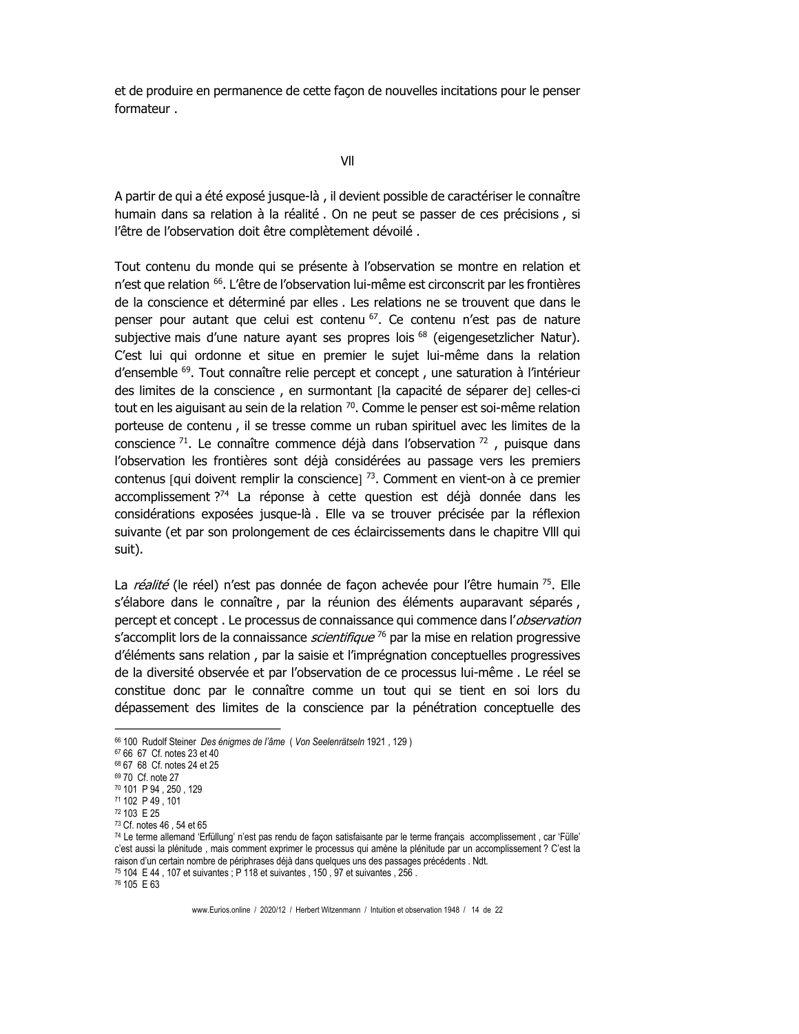et de produire en permanence de cette facon de nouvelles incitations pour le penser formateur.

VII

A partir de qui a été exposé jusque-là, il devient possible de caractériser le connaître humain dans sa relation à la réalité. On ne peut se passer de ces précisions, si l'être de l'observation doit être complètement dévoilé.

Tout contenu du monde qui se présente à l'observation se montre en relation et n'est que relation <sup>66</sup>. L'être de l'observation lui-même est circonscrit par les frontières de la conscience et déterminé par elles . Les relations ne se trouvent que dans le penser pour autant que celui est contenu <sup>67</sup>. Ce contenu n'est pas de nature subjective mais d'une nature ayant ses propres lois <sup>68</sup> (eigengesetzlicher Natur). C'est lui qui ordonne et situe en premier le sujet lui-même dans la relation d'ensemble <sup>69</sup>. Tout connaître relie percept et concept, une saturation à l'intérieur des limites de la conscience, en surmontant [la capacité de séparer de] celles-ci tout en les aiguisant au sein de la relation <sup>70</sup>. Comme le penser est soi-même relation porteuse de contenu, il se tresse comme un ruban spirituel avec les limites de la conscience  $^{71}$ . Le connaître commence déjà dans l'observation  $^{72}$ , puisque dans l'observation les frontières sont déjà considérées au passage vers les premiers contenus [qui doivent remplir la conscience]  $^{73}$ . Comment en vient-on à ce premier accomplissement ?<sup>74</sup> La réponse à cette question est déjà donnée dans les considérations exposées jusque-là. Elle va se trouver précisée par la réflexion suivante (et par son prolongement de ces éclaircissements dans le chapitre VIII qui suit).

La *réalité* (le réel) n'est pas donnée de façon achevée pour l'être humain <sup>75</sup>. Elle s'élabore dans le connaître, par la réunion des éléments auparavant séparés, percept et concept. Le processus de connaissance qui commence dans l'observation s'accomplit lors de la connaissance *scientifique* <sup>76</sup> par la mise en relation progressive d'éléments sans relation, par la saisie et l'imprégnation conceptuelles progressives de la diversité observée et par l'observation de ce processus lui-même. Le réel se constitue donc par le connaître comme un tout qui se tient en soi lors du dépassement des limites de la conscience par la pénétration conceptuelle des

<sup>66 100</sup> Rudolf Steiner Des énigmes de l'âme (Von Seelenrätseln 1921, 129)

<sup>67 66 67</sup> Cf. notes 23 et 40

<sup>68 67 68</sup> Cf. notes 24 et 25

<sup>69 70</sup> Cf. note 27

<sup>70 101</sup> P 94, 250, 129

<sup>71 102</sup> P 49, 101

<sup>72 103</sup> E 25 73 Cf notes 46 54 et 65

<sup>74</sup> Le terme allemand 'Erfüllung' n'est pas rendu de façon satisfaisante par le terme français accomplissement, car 'Fülle' c'est aussi la plénitude, mais comment exprimer le processus qui amène la plénitude par un accomplissement ? C'est la raison d'un certain nombre de périphrases déjà dans quelques uns des passages précédents . Ndt.

<sup>75 104</sup> E 44, 107 et suivantes ; P 118 et suivantes, 150, 97 et suivantes, 256.

<sup>&</sup>lt;sup>76</sup> 105 E 63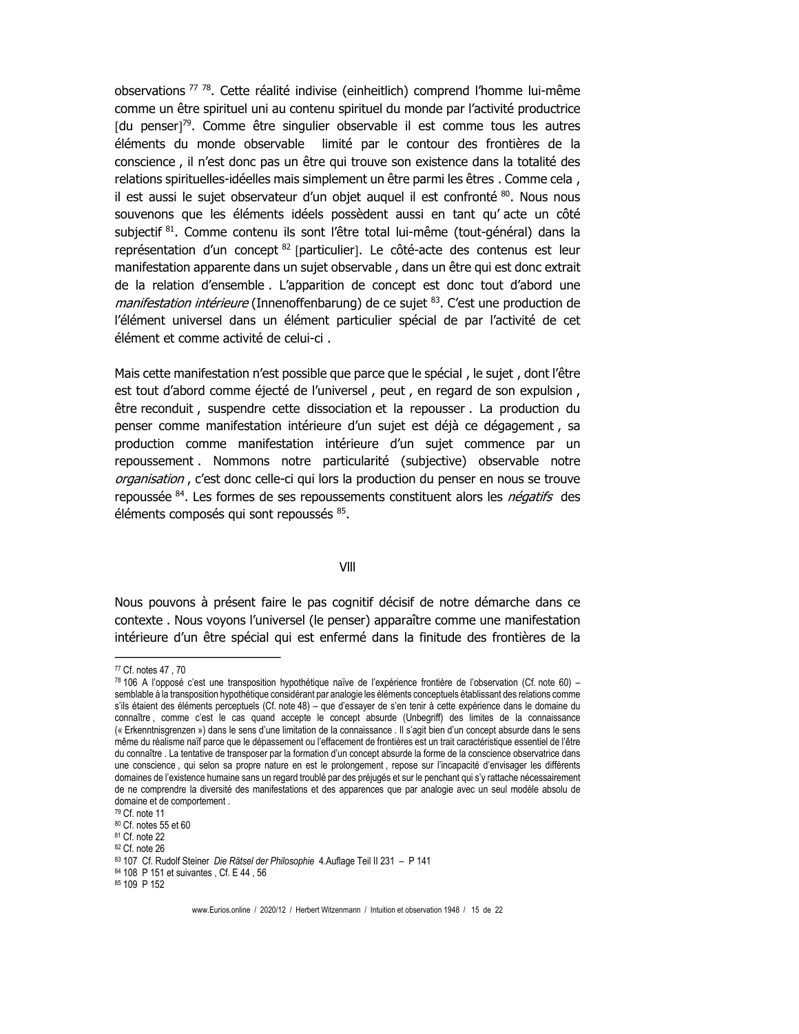observations<sup>77</sup><sup>78</sup>. Cette réalité indivise (einheitlich) comprend l'homme lui-même comme un être spirituel uni au contenu spirituel du monde par l'activité productrice [du penser]<sup>79</sup>. Comme être singulier observable il est comme tous les autres éléments du monde observable limité par le contour des frontières de la conscience, il n'est donc pas un être qui trouve son existence dans la totalité des relations spirituelles-idéelles mais simplement un être parmi les êtres. Comme cela, il est aussi le sujet observateur d'un objet auguel il est confronté 80. Nous nous souvenons que les éléments idéels possèdent aussi en tant qu'acte un côté subjectif 81. Comme contenu ils sont l'être total lui-même (tout-général) dans la représentation d'un concept 82 [particulier]. Le côté-acte des contenus est leur manifestation apparente dans un sujet observable, dans un être qui est donc extrait de la relation d'ensemble. L'apparition de concept est donc tout d'abord une manifestation intérieure (Innenoffenbarung) de ce sujet 83. C'est une production de l'élément universel dans un élément particulier spécial de par l'activité de cet élément et comme activité de celui-ci.

Mais cette manifestation n'est possible que parce que le spécial, le sujet, dont l'être est tout d'abord comme éjecté de l'universel, peut, en regard de son expulsion, être reconduit, suspendre cette dissociation et la repousser. La production du penser comme manifestation intérieure d'un sujet est déjà ce dégagement, sa production comme manifestation intérieure d'un sujet commence par un repoussement . Nommons notre particularité (subjective) observable notre *organisation*, c'est donc celle-ci qui lors la production du penser en nous se trouve repoussée <sup>84</sup>. Les formes de ses repoussements constituent alors les *négatifs* des éléments composés qui sont repoussés 85.

VIII

Nous pouvons à présent faire le pas cognitif décisif de notre démarche dans ce contexte. Nous voyons l'universel (le penser) apparaître comme une manifestation intérieure d'un être spécial qui est enfermé dans la finitude des frontières de la

<sup>&</sup>lt;sup>77</sup> Cf. notes 47, 70

<sup>78 106</sup> A l'opposé c'est une transposition hypothétique naïve de l'expérience frontière de l'observation (Cf. note 60) semblable à la transposition hypothétique considérant par analogie les éléments conceptuels établissant des relations comme s'ils étaient des éléments perceptuels (Cf. note 48) - que d'essayer de s'en tenir à cette expérience dans le domaine du connaître, comme c'est le cas quand accepte le concept absurde (Unbegriff) des limites de la connaissance (« Erkenntnisgrenzen ») dans le sens d'une limitation de la connaissance . Il s'agit bien d'un concept absurde dans le sens même du réalisme naïf parce que le dépassement ou l'effacement de frontières est un trait caractéristique essentiel de l'être du connaître . La tentative de transposer par la formation d'un concept absurde la forme de la conscience observatrice dans une conscience, qui selon sa propre nature en est le prolongement, repose sur l'incapacité d'envisager les différents domaines de l'existence humaine sans un regard troublé par des préjugés et sur le penchant qui s'y rattache nécessairement de ne comprendre la diversité des manifestations et des apparences que par analogie avec un seul modèle absolu de domaine et de comportement

<sup>79</sup> Cf. note 11

<sup>80</sup> Cf. notes 55 et 60

<sup>81</sup> Cf. note 22

<sup>82</sup> Cf. note 26

<sup>83 107</sup> Cf. Rudolf Steiner Die Rätsel der Philosophie 4.Auflage Teil II 231 - P 141

<sup>84 108</sup> P 151 et suivantes, Cf. E 44, 56

<sup>85 109</sup> P 152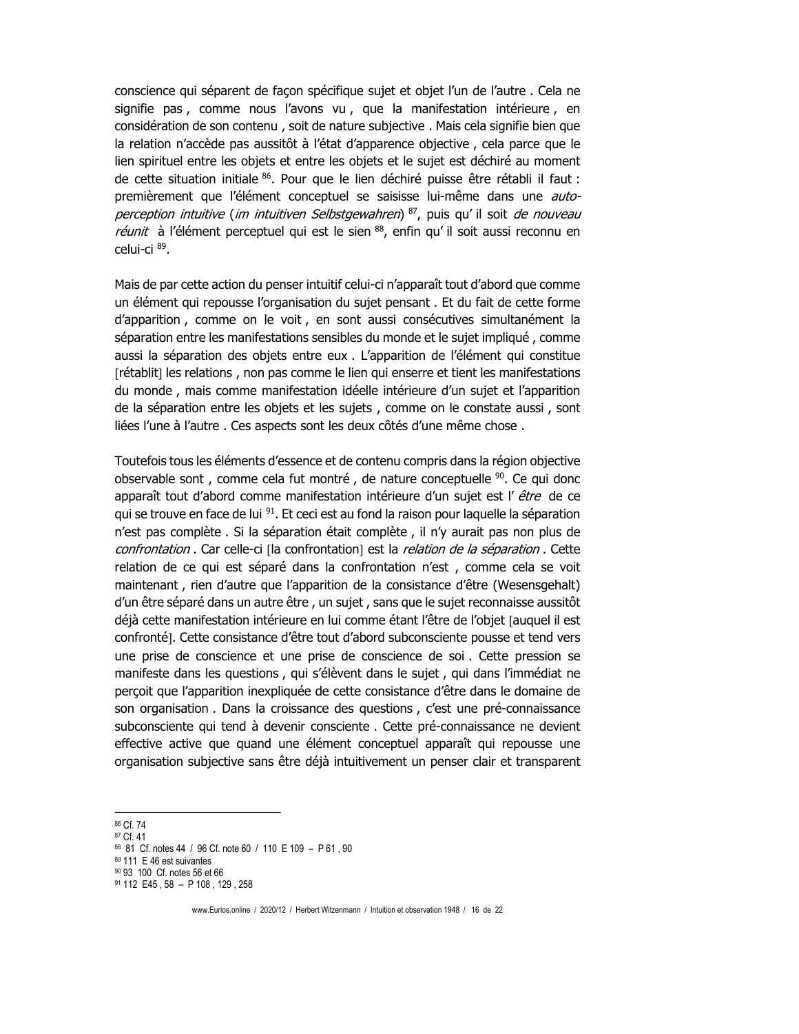conscience qui séparent de facon spécifique sujet et objet l'un de l'autre. Cela ne signifie pas, comme nous l'avons vu, que la manifestation intérieure, en considération de son contenu, soit de nature subjective. Mais cela signifie bien que la relation n'accède pas aussitôt à l'état d'apparence objective, cela parce que le lien spirituel entre les objets et entre les objets et le sujet est déchiré au moment de cette situation initiale 86. Pour que le lien déchiré puisse être rétabli il faut : premièrement que l'élément conceptuel se saisisse lui-même dans une *auto*perception intuitive (im intuitiven Selbstgewahren)<sup>87</sup>, puis qu'il soit de nouveau réunit à l'élément perceptuel qui est le sien 88, enfin qu'il soit aussi reconnu en celui-ci 89.

Mais de par cette action du penser intuitif celui-ci n'apparaît tout d'abord que comme un élément qui repousse l'organisation du sujet pensant. Et du fait de cette forme d'apparition, comme on le voit, en sont aussi consécutives simultanément la séparation entre les manifestations sensibles du monde et le sujet impliqué, comme aussi la séparation des objets entre eux . L'apparition de l'élément qui constitue [rétablit] les relations, non pas comme le lien qui enserre et tient les manifestations du monde, mais comme manifestation idéelle intérieure d'un sujet et l'apparition de la séparation entre les objets et les sujets, comme on le constate aussi, sont liées l'une à l'autre. Ces aspects sont les deux côtés d'une même chose.

Toutefois tous les éléments d'essence et de contenu compris dans la région objective observable sont, comme cela fut montré, de nature conceptuelle <sup>90</sup>. Ce qui donc apparaît tout d'abord comme manifestation intérieure d'un sujet est l' être de ce qui se trouve en face de lui <sup>91</sup>. Et ceci est au fond la raison pour laquelle la séparation n'est pas complète . Si la séparation était complète, il n'y aurait pas non plus de confrontation . Car celle-ci [la confrontation] est la relation de la séparation . Cette relation de ce qui est séparé dans la confrontation n'est, comme cela se voit maintenant, rien d'autre que l'apparition de la consistance d'être (Wesensgehalt) d'un être séparé dans un autre être, un sujet, sans que le sujet reconnaisse aussitôt déjà cette manifestation intérieure en lui comme étant l'être de l'objet [auquel il est confronté]. Cette consistance d'être tout d'abord subconsciente pousse et tend vers une prise de conscience et une prise de conscience de soi. Cette pression se manifeste dans les questions, qui s'élèvent dans le sujet, qui dans l'immédiat ne percoit que l'apparition inexpliquée de cette consistance d'être dans le domaine de son organisation . Dans la croissance des questions, c'est une pré-connaissance subconsciente qui tend à devenir consciente . Cette pré-connaissance ne devient effective active que quand une élément conceptuel apparaît qui repousse une organisation subjective sans être déjà intuitivement un penser clair et transparent

<sup>86</sup> Cf. 74

<sup>87</sup> Cf. 41

<sup>88 81</sup> Cf. notes 44 / 96 Cf. note 60 / 110 E 109 - P 61, 90

<sup>89 111</sup> E 46 est suivantes

<sup>90 93 100</sup> Cf. notes 56 et 66

<sup>91 112</sup> E45, 58 - P 108, 129, 258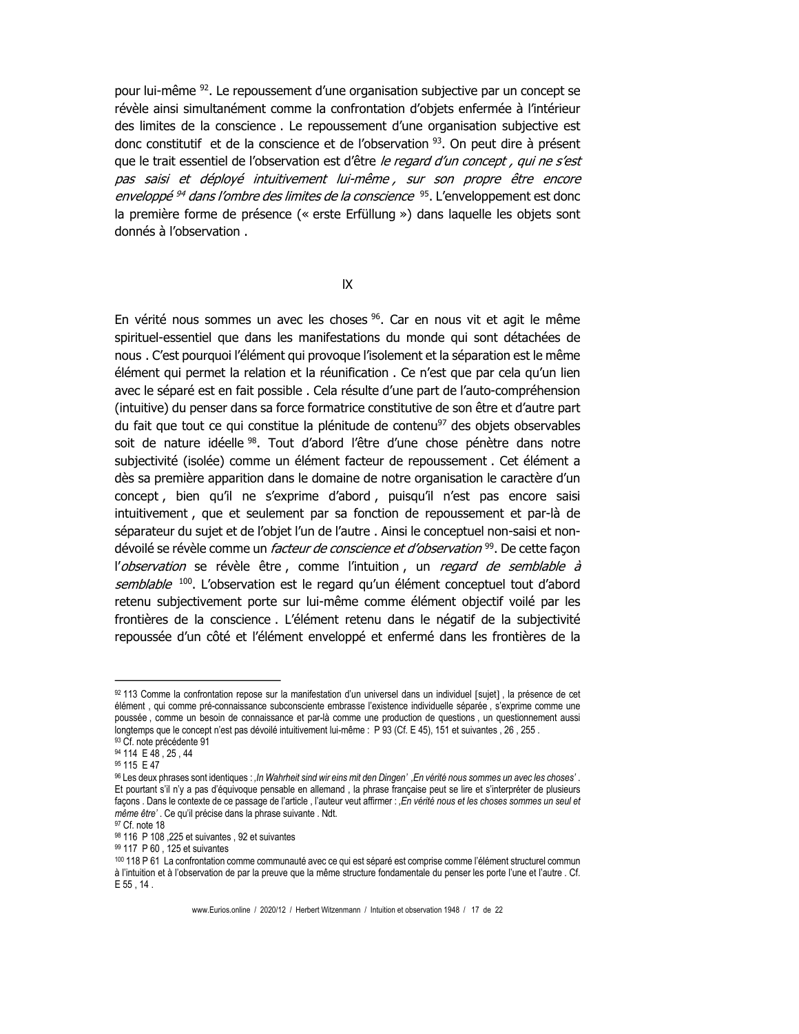pour lui-même <sup>92</sup>. Le repoussement d'une organisation subjective par un concept se révèle ainsi simultanément comme la confrontation d'objets enfermée à l'intérieur des limites de la conscience. Le repoussement d'une organisation subjective est donc constitutif et de la conscience et de l'observation<sup>93</sup>. On peut dire à présent que le trait essentiel de l'observation est d'être le regard d'un concept, qui ne s'est pas saisi et déployé intuitivement lui-même, sur son propre être encore *enveloppé<sup>94</sup> dans l'ombre des limites de la conscience*<sup>95</sup>. L'enveloppement est donc la première forme de présence (« erste Erfüllung ») dans laquelle les objets sont donnés à l'observation.

 $IX$ 

En vérité nous sommes un avec les choses <sup>96</sup>. Car en nous vit et agit le même spirituel-essentiel que dans les manifestations du monde qui sont détachées de nous. C'est pourquoi l'élément qui provoque l'isolement et la séparation est le même élément qui permet la relation et la réunification. Ce n'est que par cela qu'un lien avec le séparé est en fait possible. Cela résulte d'une part de l'auto-compréhension (intuitive) du penser dans sa force formatrice constitutive de son être et d'autre part du fait que tout ce qui constitue la plénitude de contenu<sup>97</sup> des objets observables soit de nature idéelle <sup>98</sup>. Tout d'abord l'être d'une chose pénètre dans notre subjectivité (isolée) comme un élément facteur de repoussement. Cet élément a dès sa première apparition dans le domaine de notre organisation le caractère d'un concept, bien qu'il ne s'exprime d'abord, puisqu'il n'est pas encore saisi intuitivement, que et seulement par sa fonction de repoussement et par-là de séparateur du sujet et de l'objet l'un de l'autre. Ainsi le conceptuel non-saisi et nondévoilé se révèle comme un *facteur de conscience et d'observation* <sup>99</sup>. De cette facon l'observation se révèle être, comme l'intuition, un regard de semblable à semblable <sup>100</sup>. L'observation est le regard qu'un élément conceptuel tout d'abord retenu subjectivement porte sur lui-même comme élément objectif voilé par les frontières de la conscience. L'élément retenu dans le négatif de la subjectivité repoussée d'un côté et l'élément enveloppé et enfermé dans les frontières de la

<sup>92 113</sup> Comme la confrontation repose sur la manifestation d'un universel dans un individuel [sujet], la présence de cet élément, qui comme pré-connaissance subconsciente embrasse l'existence individuelle séparée, s'exprime comme une poussée, comme un besoin de connaissance et par-là comme une production de questions, un questionnement aussi longtemps que le concept n'est pas dévoilé intuitivement lui-même : P 93 (Cf. E 45), 151 et suivantes, 26, 255 93 Cf. note précédente 91

<sup>94 114</sup> E 48, 25, 44

<sup>95 115</sup> E 47

<sup>%</sup> Les deux phrases sont identiques : , ln Wahrheit sind wir eins mit den Dingen', En vérité nous sommes un avec les choses'. Et pourtant s'il n'y a pas d'équivoque pensable en allemand, la phrase française peut se lire et s'interpréter de plusieurs façons. Dans le contexte de ce passage de l'article, l'auteur veut affirmer : ,En vérité nous et les choses sommes un seul et même être'. Ce qu'il précise dans la phrase suivante . Ndt.

<sup>97</sup> Cf. note 18

<sup>98 116</sup> P 108, 225 et suivantes, 92 et suivantes

<sup>99 117</sup> P 60, 125 et suivantes

<sup>100 118</sup> P 61 La confrontation comme communauté avec ce qui est séparé est comprise comme l'élément structurel commun à l'intuition et à l'observation de par la preuve que la même structure fondamentale du penser les porte l'une et l'autre. Cf. E 55, 14.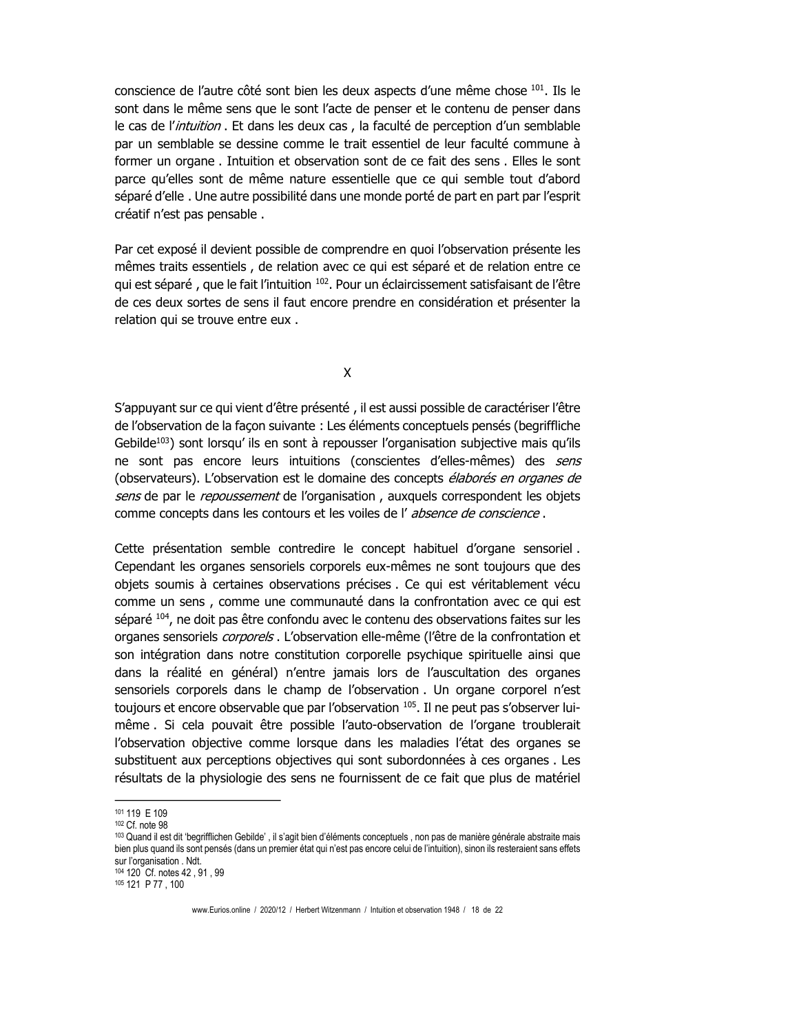conscience de l'autre côté sont bien les deux aspects d'une même chose 101. Ils le sont dans le même sens que le sont l'acte de penser et le contenu de penser dans le cas de l'intuition. Et dans les deux cas, la faculté de perception d'un semblable par un semblable se dessine comme le trait essentiel de leur faculté commune à former un organe. Intuition et observation sont de ce fait des sens. Elles le sont parce qu'elles sont de même nature essentielle que ce qui semble tout d'abord séparé d'elle. Une autre possibilité dans une monde porté de part en part par l'esprit créatif n'est pas pensable.

Par cet exposé il devient possible de comprendre en quoi l'observation présente les mêmes traits essentiels, de relation avec ce qui est séparé et de relation entre ce qui est séparé, que le fait l'intuition <sup>102</sup>. Pour un éclaircissement satisfaisant de l'être de ces deux sortes de sens il faut encore prendre en considération et présenter la relation qui se trouve entre eux.

X

S'appuyant sur ce qui vient d'être présenté, il est aussi possible de caractériser l'être de l'observation de la facon suivante : Les éléments conceptuels pensés (begriffliche Gebilde<sup>103</sup>) sont lorsqu'ils en sont à repousser l'organisation subjective mais qu'ils ne sont pas encore leurs intuitions (conscientes d'elles-mêmes) des sens (observateurs). L'observation est le domaine des concepts élaborés en organes de sens de par le repoussement de l'organisation, auxquels correspondent les objets comme concepts dans les contours et les voiles de l'absence de conscience.

Cette présentation semble contredire le concept habituel d'organe sensoriel. Cependant les organes sensoriels corporels eux-mêmes ne sont toujours que des objets soumis à certaines observations précises. Ce qui est véritablement vécu comme un sens, comme une communauté dans la confrontation avec ce qui est séparé 104, ne doit pas être confondu avec le contenu des observations faites sur les organes sensoriels *corporels* . L'observation elle-même (l'être de la confrontation et son intégration dans notre constitution corporelle psychique spirituelle ainsi que dans la réalité en général) n'entre jamais lors de l'auscultation des organes sensoriels corporels dans le champ de l'observation. Un organe corporel n'est toujours et encore observable que par l'observation 105. Il ne peut pas s'observer luimême. Si cela pouvait être possible l'auto-observation de l'organe troublerait l'observation objective comme lorsque dans les maladies l'état des organes se substituent aux perceptions objectives qui sont subordonnées à ces organes. Les résultats de la physiologie des sens ne fournissent de ce fait que plus de matériel

<sup>101 119</sup> E 109

 $102 \text{ Cf}$ , note 98

<sup>103</sup> Quand il est dit 'begrifflichen Gebilde', il s'agit bien d'éléments conceptuels, non pas de manière générale abstraite mais bien plus quand ils sont pensés (dans un premier état qui n'est pas encore celui de l'intuition), sinon ils resteraient sans effets sur l'organisation . Ndt. 104 120 Cf. notes 42, 91, 99

<sup>105 121</sup> P 77, 100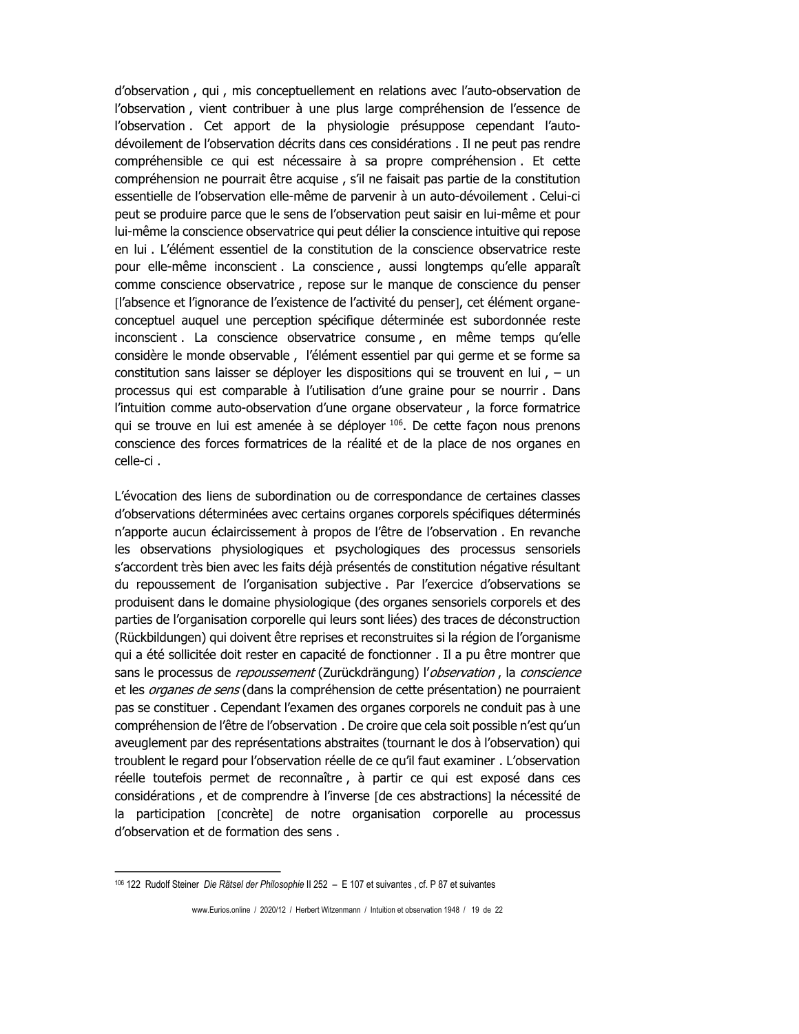d'observation, qui, mis conceptuellement en relations avec l'auto-observation de l'observation, vient contribuer à une plus large compréhension de l'essence de l'observation. Cet apport de la physiologie présuppose cependant l'autodévoilement de l'observation décrits dans ces considérations . Il ne peut pas rendre compréhensible ce qui est nécessaire à sa propre compréhension. Et cette compréhension ne pourrait être acquise, s'il ne faisait pas partie de la constitution essentielle de l'observation elle-même de parvenir à un auto-dévoilement. Celui-ci peut se produire parce que le sens de l'observation peut saisir en lui-même et pour lui-même la conscience observatrice qui peut délier la conscience intuitive qui repose en lui . L'élément essentiel de la constitution de la conscience observatrice reste pour elle-même inconscient . La conscience, aussi longtemps qu'elle apparaît comme conscience observatrice, repose sur le manque de conscience du penser [l'absence et l'ignorance de l'existence de l'activité du penser], cet élément organeconceptuel auquel une perception spécifique déterminée est subordonnée reste inconscient . La conscience observatrice consume, en même temps qu'elle considère le monde observable, l'élément essentiel par qui germe et se forme sa constitution sans laisser se déployer les dispositions qui se trouvent en lui,  $-$  un processus qui est comparable à l'utilisation d'une graine pour se nourrir. Dans l'intuition comme auto-observation d'une organe observateur, la force formatrice qui se trouve en lui est amenée à se déployer 106. De cette façon nous prenons conscience des forces formatrices de la réalité et de la place de nos organes en celle-ci.

L'évocation des liens de subordination ou de correspondance de certaines classes d'observations déterminées avec certains organes corporels spécifiques déterminés n'apporte aucun éclaircissement à propos de l'être de l'observation. En revanche les observations physiologiques et psychologiques des processus sensoriels s'accordent très bien avec les faits déjà présentés de constitution négative résultant du repoussement de l'organisation subjective. Par l'exercice d'observations se produisent dans le domaine physiologique (des organes sensoriels corporels et des parties de l'organisation corporelle qui leurs sont liées) des traces de déconstruction (Rückbildungen) qui doivent être reprises et reconstruites si la région de l'organisme qui a été sollicitée doit rester en capacité de fonctionner . Il a pu être montrer que sans le processus de repoussement (Zurückdrängung) l'observation, la conscience et les *organes de sens* (dans la compréhension de cette présentation) ne pourraient pas se constituer. Cependant l'examen des organes corporels ne conduit pas à une compréhension de l'être de l'observation. De croire que cela soit possible n'est qu'un aveuglement par des représentations abstraites (tournant le dos à l'observation) qui troublent le regard pour l'observation réelle de ce qu'il faut examiner. L'observation réelle toutefois permet de reconnaître, à partir ce qui est exposé dans ces considérations, et de comprendre à l'inverse [de ces abstractions] la nécessité de la participation [concrète] de notre organisation corporelle au processus d'observation et de formation des sens.

www.Eurios.online / 2020/12 / Herbert Witzenmann / Intuition et observation 1948 / 19 de 22

<sup>106 122</sup> Rudolf Steiner Die Rätsel der Philosophie II 252 - E 107 et suivantes, cf. P 87 et suivantes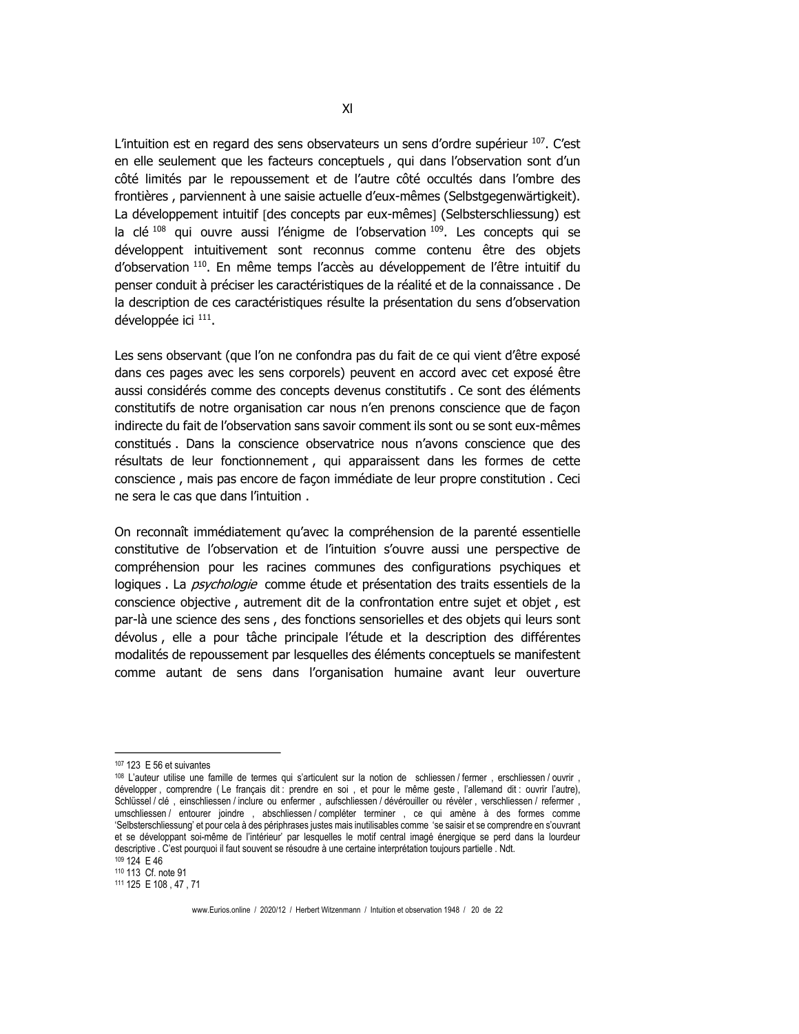L'intuition est en regard des sens observateurs un sens d'ordre supérieur 107. C'est en elle seulement que les facteurs conceptuels, qui dans l'observation sont d'un côté limités par le repoussement et de l'autre côté occultés dans l'ombre des frontières, parviennent à une saisie actuelle d'eux-mêmes (Selbstgegenwärtigkeit). La développement intuitif [des concepts par eux-mêmes] (Selbsterschliessung) est la clé<sup>108</sup> qui ouvre aussi l'énigme de l'observation<sup>109</sup>. Les concepts qui se développent intuitivement sont reconnus comme contenu être des objets d'observation 110. En même temps l'accès au développement de l'être intuitif du penser conduit à préciser les caractéristiques de la réalité et de la connaissance. De la description de ces caractéristiques résulte la présentation du sens d'observation développée ici 111.

Les sens observant (que l'on ne confondra pas du fait de ce qui vient d'être exposé dans ces pages avec les sens corporels) peuvent en accord avec cet exposé être aussi considérés comme des concepts devenus constitutifs. Ce sont des éléments constitutifs de notre organisation car nous n'en prenons conscience que de façon indirecte du fait de l'observation sans savoir comment ils sont ou se sont eux-mêmes constitués . Dans la conscience observatrice nous n'avons conscience que des résultats de leur fonctionnement, qui apparaissent dans les formes de cette conscience, mais pas encore de façon immédiate de leur propre constitution. Ceci ne sera le cas que dans l'intuition.

On reconnaît immédiatement qu'avec la compréhension de la parenté essentielle constitutive de l'observation et de l'intuition s'ouvre aussi une perspective de compréhension pour les racines communes des configurations psychiques et logiques. La *psychologie* comme étude et présentation des traits essentiels de la conscience objective, autrement dit de la confrontation entre sujet et objet, est par-là une science des sens, des fonctions sensorielles et des objets qui leurs sont dévolus, elle a pour tâche principale l'étude et la description des différentes modalités de repoussement par lesquelles des éléments conceptuels se manifestent comme autant de sens dans l'organisation humaine avant leur ouverture

 $XI$ 

<sup>107 123</sup> E 56 et suivantes

<sup>108</sup> L'auteur utilise une famille de termes qui s'articulent sur la notion de schliessen / fermer, erschliessen / ouvrir, développer, comprendre (Le français dit: prendre en soi, et pour le même geste, l'allemand dit: ouvrir l'autre), Schlüssel / clé, einschliessen / inclure ou enfermer, aufschliessen / dévérouiller ou révèler, verschliessen / refermer, umschliessen / entourer joindre, abschliessen / compléter terminer, ce qui amène à des formes comme 'Selbsterschliessung' et pour cela à des périphrases justes mais inutilisables comme 'se saisir et se comprendre en s'ouvrant et se développant soi-même de l'intérieur' par lesquelles le motif central imagé énergique se perd dans la lourdeur descriptive . C'est pourquoi il faut souvent se résoudre à une certaine interprétation toujours partielle . Ndt.

<sup>109 124</sup> E 46

<sup>110 113</sup> Cf. note 91

<sup>111 125</sup> E 108, 47, 71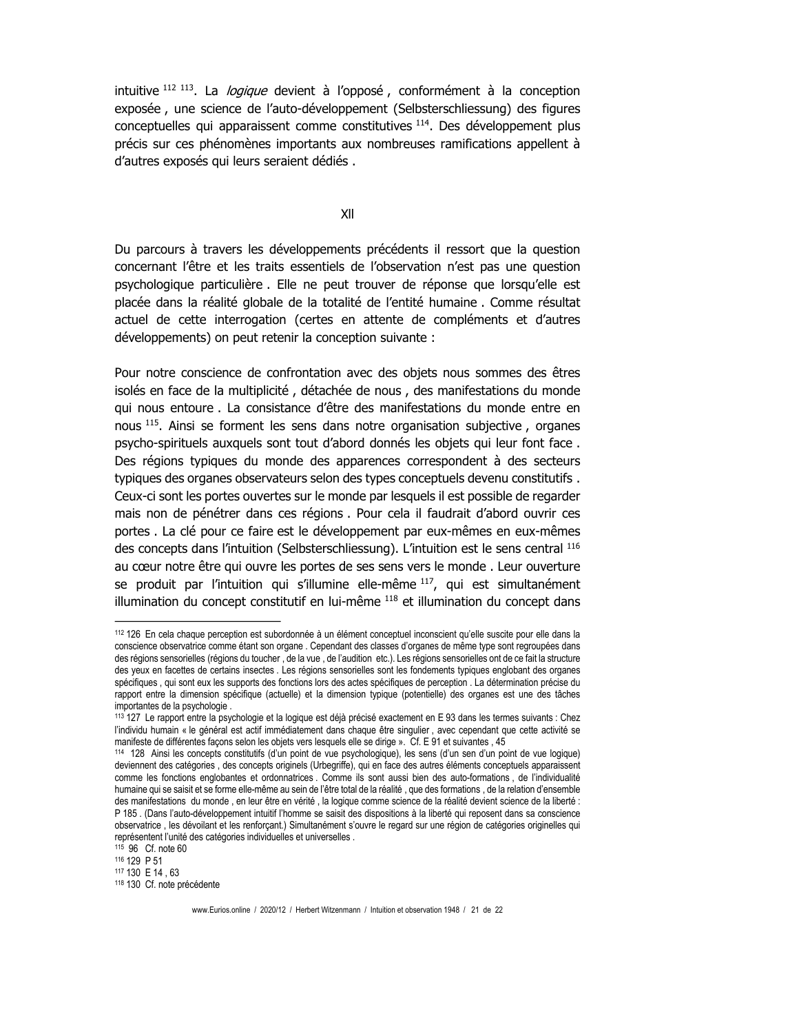intuitive <sup>112 113</sup>. La *logique* devient à l'opposé, conformément à la conception exposée, une science de l'auto-développement (Selbsterschliessung) des figures conceptuelles qui apparaissent comme constitutives <sup>114</sup>. Des développement plus précis sur ces phénomènes importants aux nombreuses ramifications appellent à d'autres exposés qui leurs seraient dédiés.

 $XII$ 

Du parcours à travers les développements précédents il ressort que la question concernant l'être et les traits essentiels de l'observation n'est pas une question psychologique particulière. Elle ne peut trouver de réponse que lorsqu'elle est placée dans la réalité globale de la totalité de l'entité humaine. Comme résultat actuel de cette interrogation (certes en attente de compléments et d'autres développements) on peut retenir la conception suivante :

Pour notre conscience de confrontation avec des objets nous sommes des êtres isolés en face de la multiplicité, détachée de nous, des manifestations du monde qui nous entoure. La consistance d'être des manifestations du monde entre en nous 115. Ainsi se forment les sens dans notre organisation subjective, organes psycho-spirituels auxquels sont tout d'abord donnés les objets qui leur font face. Des régions typiques du monde des apparences correspondent à des secteurs typiques des organes observateurs selon des types conceptuels devenu constitutifs. Ceux-ci sont les portes ouvertes sur le monde par lesquels il est possible de regarder mais non de pénétrer dans ces régions. Pour cela il faudrait d'abord ouvrir ces portes. La clé pour ce faire est le développement par eux-mêmes en eux-mêmes des concepts dans l'intuition (Selbsterschliessung). L'intuition est le sens central 116 au cœur notre être qui ouvre les portes de ses sens vers le monde. Leur ouverture se produit par l'intuition qui s'illumine elle-même 117, qui est simultanément illumination du concept constitutif en lui-même 118 et illumination du concept dans

<sup>112 126</sup> En cela chaque perception est subordonnée à un élément conceptuel inconscient qu'elle suscite pour elle dans la conscience observatrice comme étant son organe . Cependant des classes d'organes de même type sont regroupées dans des régions sensorielles (régions du toucher, de la vue, de l'audition etc.). Les régions sensorielles ont de ce fait la structure des yeux en facettes de certains insectes . Les régions sensorielles sont les fondements typiques englobant des organes spécifiques, qui sont eux les supports des fonctions lors des actes spécifiques de perception. La détermination précise du rapport entre la dimension spécifique (actuelle) et la dimension typique (potentielle) des organes est une des tâches importantes de la psychologie.

<sup>113 127</sup> Le rapport entre la psychologie et la logique est déjà précisé exactement en E 93 dans les termes suivants : Chez l'individu humain « le général est actif immédiatement dans chaque être singulier, avec cependant que cette activité se manifeste de différentes facons selon les objets vers lesquels elle se dirige ». Cf. E 91 et suivantes, 45

<sup>114 128</sup> Ainsi les concepts constitutifs (d'un point de vue psychologique), les sens (d'un sen d'un point de vue logique) deviennent des catégories, des concepts originels (Urbegriffe), qui en face des autres éléments conceptuels apparaissent comme les fonctions englobantes et ordonnatrices. Comme ils sont aussi bien des auto-formations, de l'individualité humaine qui se saisit et se forme elle-même au sein de l'être total de la réalité, que des formations, de la relation d'ensemble des manifestations du monde, en leur être en vérité, la logique comme science de la réalité devient science de la liberté : P 185. (Dans l'auto-développement intuitif l'homme se saisit des dispositions à la liberté qui reposent dans sa conscience observatrice, les dévoilant et les renforçant.) Simultanément s'ouvre le regard sur une région de catégories originelles qui représentent l'unité des catégories individuelles et universelles.

<sup>115 96</sup> Cf. note 60

<sup>116 129</sup> P 51

<sup>117 130</sup> E 14 .63

<sup>118 130</sup> Cf. note précédente